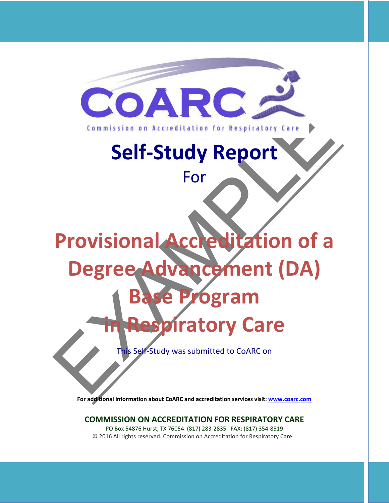

# **Self-Study Report**

For

# Self-Study Report **Provisional Accreditation of a Degree Advancement (DA) Be Program**

# *p***iratory Care**

This Self-Study was submitted to CoARC on

**For additional information about CoARC and accreditation services visit: www.coarc.com**

#### **COMMISSION ON ACCREDITATION FOR RESPIRATORY CARE**

PO Box 54876 Hurst, TX 76054 (817) 283-2835 FAX: (817) 354-8519 © 2016 All rights reserved. Commission on Accreditation for Respiratory Care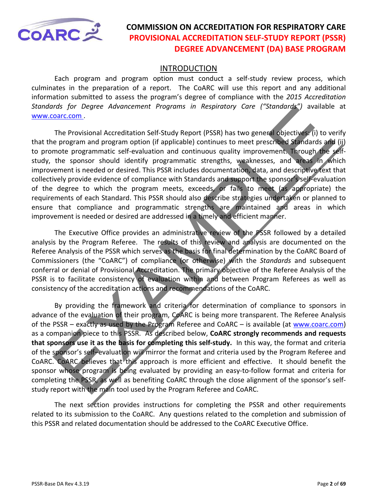<span id="page-1-0"></span>

#### INTRODUCTION

Each program and program option must conduct a self-study review process, which culminates in the preparation of a report. The CoARC will use this report and any additional information submitted to assess the program's degree of compliance with the *2015 Accreditation Standards for Degree Advancement Programs in Respiratory Care ("Standards")* available at www.coarc.com .

The Provisional Accreditation Self-Study Report (PSSR) has two general objectives: (i) to verify that the program and program option (if applicable) continues to meet prescribed Standards and (ii) to promote programmatic self-evaluation and continuous quality improvement. Through the selfstudy, the sponsor should identify programmatic strengths, weaknesses, and areas in which improvement is needed or desired. This PSSR includes documentation, data, and descriptive text that collectively provide evidence of compliance with Standards and support the sponsor's self-evaluation of the degree to which the program meets, exceeds, or fails to meet (as appropriate) the requirements of each Standard. This PSSR should also describe strategies undertaken or planned to ensure that compliance and programmatic strengths are maintained and areas in which improvement is needed or desired are addressed in a timely and efficient manner.

The Executive Office provides an administrative review of the PSSR followed by a detailed analysis by the Program Referee. The results of this review and analysis are documented on the Referee Analysis of the PSSR which serves as the basis for final determination by the CoARC Board of Commissioners (the "CoARC") of compliance (or otherwise) with the *Standards* and subsequent conferral or denial of Provisional Accreditation. The primary objective of the Referee Analysis of the PSSR is to facilitate consistency of evaluation within and between Program Referees as well as consistency of the accreditation actions and recommendations of the CoARC.

ros for Degree Advoncement Programs in Respiratory Care ("Standards") available<br>
Datic Com.<br>
The Provisional Accreditation Self-Study Report (PSSR) has two general objectives (ii) to ve<br>
program and program option (if appl By providing the framework and criteria for determination of compliance to sponsors in advance of the evaluation of their program, CoARC is being more transparent. The Referee Analysis of the PSSR – exactly as used by the Program Referee and CoARC – is available (at www.coarc.com) as a companion piece to this PSSR. As described below, **CoARC strongly recommends and requests that sponsors use it as the basis for completing this self-study.** In this way, the format and criteria of the sponsor's self–evaluation will mirror the format and criteria used by the Program Referee and CoARC. CoARC believes that this approach is more efficient and effective. It should benefit the sponsor whose program is being evaluated by providing an easy-to-follow format and criteria for completing the PSSR, as well as benefiting CoARC through the close alignment of the sponsor's selfstudy report with the main tool used by the Program Referee and CoARC.

The next section provides instructions for completing the PSSR and other requirements related to its submission to the CoARC. Any questions related to the completion and submission of this PSSR and related documentation should be addressed to the CoARC Executive Office.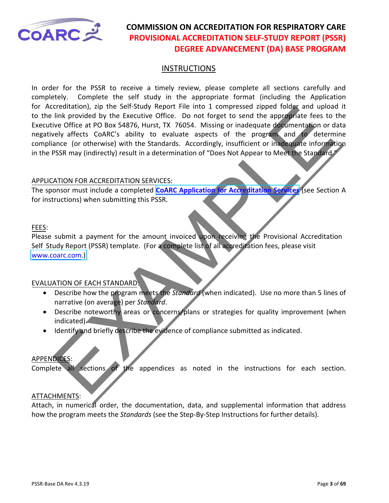

#### **INSTRUCTIONS**

creation and the setting when the into 1 compressed appear back and plus the two didles and the securive office. Do not forget to send the approvide feas to the properties CoARS76, Hurst, TX 76054. Missing or inadequate do In order for the PSSR to receive a timely review, please complete all sections carefully and completely. Complete the self study in the appropriate format (including the Application for Accreditation), zip the Self-Study Report File into 1 compressed zipped folder and upload it to the link provided by the Executive Office. Do not forget to send the appropriate fees to the Executive Office at PO Box 54876, Hurst, TX 76054. Missing or inadequate documentation or data negatively affects CoARC's ability to evaluate aspects of the program and to determine compliance (or otherwise) with the Standards. Accordingly, insufficient or inadequate information in the PSSR may (indirectly) result in a determination of "Does Not Appear to Meet the Standard."

#### APPLICATION FOR ACCREDITATION SERVICES:

The sponsor must include a completed **CoARC Application for Accreditation Services** (see Section A for instructions) when submitting this PSSR.

#### FEES:

Please submit a payment for the amount invoiced upon receiving the Provisional Accreditation Self Study Report (PSSR) template. (For a complete list of all accreditation fees, please visit [www.coarc.com.\)](https://www.coarc.com/Accreditation/Accreditation-Fees.aspx) 

#### EVALUATION OF EACH STANDARD:

- Describe how the program meets the *Standard* (when indicated). Use no more than 5 lines of narrative (on average) per *Standard*.
- Describe noteworthy areas or concerns/plans or strategies for quality improvement (when indicated).
- Identify and briefly describe the evidence of compliance submitted as indicated.

#### APPENDICES:

Complete all sections of the appendices as noted in the instructions for each section.

#### ATTACHMENTS:

Attach, in numerical order, the documentation, data, and supplemental information that address how the program meets the *Standards* (see the Step-By-Step Instructions for further details).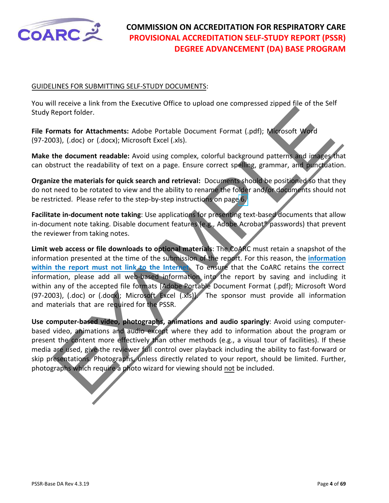

#### GUIDELINES FOR SUBMITTING SELF-STUDY DOCUMENTS:

You will receive a link from the Executive Office to upload one compressed zipped file of the Self Study Report folder.

**File Formats for Attachments:** Adobe Portable Document Format (.pdf); Microsoft Word (97-2003), (.doc) or (.docx); Microsoft Excel (.xls).

**Make the document readable:** Avoid using complex, colorful background patterns and images that can obstruct the readability of text on a page. Ensure correct spelling, grammar, and punctuation.

**Organize the materials for quick search and retrieval:** Documents should be positioned so that they do not need to be rotated to view and the ability to rename the folder and/or documents should not be restricted. Please refer to the step-by-step instructions on page 6.

**Facilitate in-document note taking**: Use applications for presenting text-based documents that allow in-document note taking. Disable document features (e.g., Adobe Acrobat® passwords) that prevent the reviewer from taking notes.

Report folder.<br>
Report folder.<br>
The contribute of the comment of the comment of the comment of the comment of the comment solid (doc) or (dock); Microsoft Excel (xls).<br>
The document readable: Avoid using complex, colorful **Limit web access or file downloads to optional materials**: The CoARC must retain a snapshot of the information presented at the time of the submission of the report. For this reason, the **information within the report must not link to the Internet**. To ensure that the CoARC retains the correct information, please add all web-based information into the report by saving and including it within any of the accepted file formats [Adobe Portable Document Format (.pdf); Microsoft Word (97-2003), (.doc) or (.docx); Microsoft Excel (.xls)]. The sponsor must provide all information and materials that are required for the PSSR.

**Use computer-based video, photographs, animations and audio sparingly**: Avoid using computerbased video, animations and audio except where they add to information about the program or present the content more effectively than other methods (e.g., a visual tour of facilities). If these media are used, give the reviewer full control over playback including the ability to fast-forward or skip presentations. Photographs, unless directly related to your report, should be limited. Further, photographs which require a photo wizard for viewing should not be included.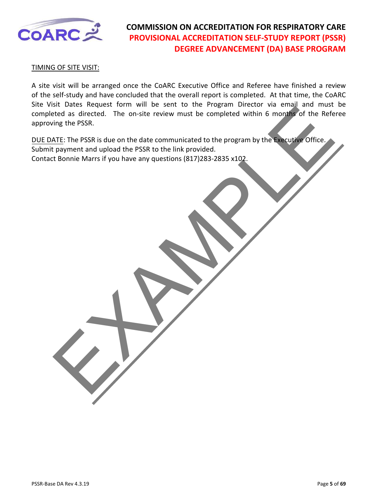

TIMING OF SITE VISIT:

A site visit will be arranged once the CoARC Executive Office and Referee have finished a review of the self-study and have concluded that the overall report is completed. At that time, the CoARC Site Visit Dates Request form will be sent to the Program Director via email and must be completed as directed. The on-site review must be completed within 6 months of the Referee approving the PSSR.

Sincered. The on-site review must be completed within 6 months of the Referred. The on-site review must be completed within 6 months of the Referred. The PSSR is due on the date communicated to the program by the Cacustal DUE DATE: The PSSR is due on the date communicated to the program by the Executive Office. Submit payment and upload the PSSR to the link provided. Contact Bonnie Marrs if you have any questions (817)283-2835 x102.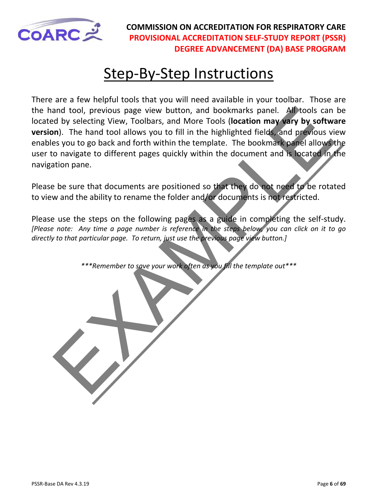<span id="page-5-0"></span>

# **Step-By-Step Instructions**

and tool, previous page view button, and bookmarks panel. All tools can div selecting Were tools (location may vary by softwarks parties) we softwarks and My selecting Were Tools (location may vary by softwarks and forth w There are a few helpful tools that you will need available in your toolbar. Those are the hand tool, previous page view button, and bookmarks panel. All tools can be located by selecting View, Toolbars, and More Tools (**location may vary by software version**). The hand tool allows you to fill in the highlighted fields, and previous view enables you to go back and forth within the template. The bookmark panel allows the user to navigate to different pages quickly within the document and is located in the navigation pane.

Please be sure that documents are positioned so that they do not need to be rotated to view and the ability to rename the folder and/or documents is not restricted.

Please use the steps on the following pages as a guide in completing the self-study. *[Please note: Any time a page number is reference in the steps below, you can click on it to go directly to that particular page. To return, just use the previous page view button.]*

*\*\*\*Remember to save your work often as you fill the template out\*\*\**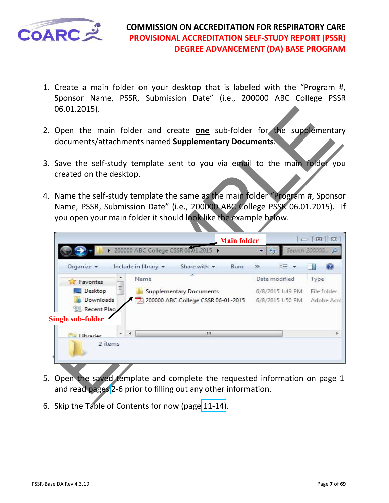

- 1. Create a main folder on your desktop that is labeled with the "Program #, Sponsor Name, PSSR, Submission Date" (i.e., 200000 ABC College PSSR 06.01.2015).
- 2. Open the main folder and create **one** sub-folder for the supplementary documents/attachments named **Supplementary Documents**.
- 3. Save the self-study template sent to you via email to the main folder you created on the desktop.
- 4. Name the self-study template the same as the main folder "Program #, Sponsor Name, PSSR, Submission Date" (i.e., 200000 ABC College PSSR 06.01.2015). If you open your main folder it should look like the example below.

| 06.01.2015).                 |                                                                                                                                                                                                                                 |                            |               |
|------------------------------|---------------------------------------------------------------------------------------------------------------------------------------------------------------------------------------------------------------------------------|----------------------------|---------------|
|                              | Open the main folder and create <b>one</b> sub-folder for the supplementary<br>documents/attachments named Supplementary Documents.                                                                                             |                            |               |
| created on the desktop.      | Save the self-study template sent to you via email to the main folder you                                                                                                                                                       |                            |               |
|                              | Name the self-study template the same as the main folder "Program #, Sponsor<br>Name, PSSR, Submission Date" (i.e., 200000 ABC College PSSR 06.01.2015). If<br>you open your main folder it should look like the example below. |                            |               |
|                              | <b>Main folder</b>                                                                                                                                                                                                              | ÷                          | 回<br>$\Sigma$ |
|                              | 200000 ABC College CSSR 06:01.2015                                                                                                                                                                                              | $\ast_{\hat{\mathcal{T}}}$ | Search 200000 |
|                              |                                                                                                                                                                                                                                 |                            |               |
| Organize v                   | Include in library<br>Share with $\blacktriangledown$<br>Burn                                                                                                                                                                   | 脏<br>»                     |               |
| Favorites                    | Name                                                                                                                                                                                                                            | Date modified              | Type          |
| E<br>Desktop                 | Supplementary Documents                                                                                                                                                                                                         | 6/8/2015 1:49 PM           | File folder   |
| Downloads                    | 200000 ABC College CSSR 06-01-2015                                                                                                                                                                                              | 6/8/2015 1:50 PM           | Adobe Acrc    |
| Recent Place                 |                                                                                                                                                                                                                                 |                            |               |
| Libraries                    | m                                                                                                                                                                                                                               |                            |               |
| Single sub-folder<br>2 items |                                                                                                                                                                                                                                 |                            |               |
|                              |                                                                                                                                                                                                                                 |                            |               |
|                              | Open the saved template and complete the requested information on page 1<br>and read pages 2-6 prior to filling out any other information.                                                                                      |                            |               |

- 5. Open the saved template and complete the requested information on page 1 and read pages 2-6 prior to filling out any other information.
- 6. Skip the Table of Contents for now (page [11-1](#page-10-0)4).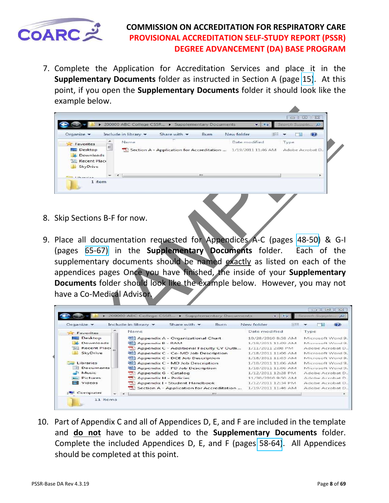<span id="page-7-0"></span>

7. Complete the Application for Accreditation Services and place it in the **Supplementary Documents** folder as instructed in Section A (page [15\)](#page-14-0). At this point, if you open the **Supplementary Documents** folder it should look like the example below.

| Organize v                                                           |        | Include in library | Share with $\blacktriangledown$                               | Burn  | New folder    | 開三 |                           |   |
|----------------------------------------------------------------------|--------|--------------------|---------------------------------------------------------------|-------|---------------|----|---------------------------|---|
| Favorites<br>Desktop<br>Downloads<br><b>Recent Place</b><br>SkyDrive | ÷<br>E | Name               | Section A - Application for Accreditation  1/19/2011 11:46 AM |       | Date modified |    | Type.<br>Adobe Acrobat D. |   |
| $1.3$ and $-$                                                        |        |                    |                                                               | .131. |               |    |                           | × |

- 8. Skip Sections B-F for now.
- 9. Place all documentation requested for Appendices A-C (pages 48-50) & G-I (pages 65-67) in the **Supplementary Documents** folder. Each of the supplementary documents should be named exactly as listed on each of the appendices pages Once you have finished, the inside of your **Supplementary Documents** folder should look like the example below. However, you may not have a Co-Medical Advisor.

| Organize -                                                                                                                                                            |     |                            |                                                               |      |               |                    |                |                   |   |
|-----------------------------------------------------------------------------------------------------------------------------------------------------------------------|-----|----------------------------|---------------------------------------------------------------|------|---------------|--------------------|----------------|-------------------|---|
|                                                                                                                                                                       |     |                            |                                                               |      |               |                    | $\Box$ le      | $\Sigma$          |   |
|                                                                                                                                                                       |     |                            | ollege CSSR > Supplementary Documents                         |      |               | $\ddot{\bullet}$   | Search Supple. |                   |   |
|                                                                                                                                                                       |     | Include in library         | Share with $\blacktriangledown$                               | Burn | New folder    | 예프트                |                | -23               |   |
| Favorites                                                                                                                                                             | ۸   | Name                       |                                                               |      | Date modified |                    | Type           |                   |   |
| Desktop                                                                                                                                                               | $=$ |                            | Section A - Application for Accreditation  1/19/2011 11:46 AM |      |               |                    |                | Adobe Acrobat D.  |   |
| Downloads                                                                                                                                                             |     |                            |                                                               |      |               |                    |                |                   |   |
| <b>Recent Place</b>                                                                                                                                                   |     |                            |                                                               |      |               |                    |                |                   |   |
| SkyDrive                                                                                                                                                              |     |                            |                                                               |      |               |                    |                |                   |   |
|                                                                                                                                                                       |     |                            |                                                               |      |               |                    |                |                   |   |
| $-11$<br>1 item                                                                                                                                                       |     |                            |                                                               |      |               |                    |                |                   |   |
| Skip Sections B-F for now.<br>Place all documentation requested for Appendices A-C (pages 48-50) & G-I<br>(pages 65-67) in the <b>Supplementary Documents</b> folder. |     |                            |                                                               |      |               |                    |                | Each of the       |   |
|                                                                                                                                                                       |     |                            |                                                               |      |               |                    |                |                   |   |
| supplementary documents should be named exactly as listed on each of the<br>appendices pages Once you have finished, the inside of your Supplementary                 |     |                            |                                                               |      |               |                    |                |                   |   |
|                                                                                                                                                                       |     |                            |                                                               |      |               |                    |                |                   |   |
|                                                                                                                                                                       |     |                            |                                                               |      |               |                    |                |                   |   |
|                                                                                                                                                                       |     |                            |                                                               |      |               |                    |                |                   |   |
|                                                                                                                                                                       |     |                            |                                                               |      |               |                    |                |                   |   |
|                                                                                                                                                                       |     |                            |                                                               |      |               |                    |                |                   |   |
|                                                                                                                                                                       |     |                            |                                                               |      |               |                    |                |                   |   |
|                                                                                                                                                                       |     |                            | College CSSR > Supplementary Documents                        |      |               |                    | $+ +$          |                   |   |
| Organize v                                                                                                                                                            |     | Include in library $\star$ | Share with $\blacktriangledown$                               |      | <b>Burn</b>   | New folder         | 생주목            | 一日                | œ |
|                                                                                                                                                                       |     | Name                       |                                                               |      |               | Date modified      |                | Type              |   |
| <b>Favorites</b><br>Desktop                                                                                                                                           |     |                            |                                                               |      |               | 10/28/2010 8:58 AM |                | Microsoft Word 9. |   |
| Downloads                                                                                                                                                             |     |                            | Appendix A - Organizational Chart                             |      |               | 1/18/2011 11:09 AM |                | Microsoft Word 9. |   |
| Recent Place                                                                                                                                                          |     |                            | Appendix B - RAM                                              |      |               |                    |                |                   |   |
|                                                                                                                                                                       |     |                            | Appendix C - Additional Faculty CV Outli                      |      |               | 1/11/2011 2:08 PM  |                | Adobe Acrobat D.  |   |
| SkyDrive                                                                                                                                                              |     |                            | Appendix C - Co-MD Job Description                            |      |               | 1/18/2011 11:06 AM |                | Microsoft Word 9. |   |
|                                                                                                                                                                       |     |                            | Appendix C - DCE Job Description                              |      |               | 1/18/2011 11:05 AM |                | Microsoft Word 9. |   |
| Libraries                                                                                                                                                             |     |                            | Appendix C - MD Job Description                               |      |               | 1/18/2011 11:06 AM |                | Microsoft Word 9. |   |
| Documents                                                                                                                                                             |     |                            | Appendix C - PD Job Description                               |      |               | 1/18/2011 11:06 AM |                | Microsoft Word 9. |   |
| Music                                                                                                                                                                 |     |                            | Appendix G - Catalog                                          |      |               | 1/12/2011 12:28 PM |                | Adobe Acrobat D., |   |
| Pictures                                                                                                                                                              |     |                            | Appendix H - Policies                                         |      |               | 11/30/2010 9:50 AM |                | Adobe Acrobat D., |   |
| Videos                                                                                                                                                                |     |                            | Appendix I - Student Handbook                                 |      |               | 1/12/2011 12:34 PM |                | Adobe Acrobat D.  |   |
| Documents folder should look like the example below. However, you may not<br>have a Co-Medical Advison<br>Computer                                                    |     |                            | Section A - Application for Accreditation                     |      |               | 1/19/2011 11:46 AM |                | Adobe Acrobat D., |   |

10. Part of Appendix C and all of Appendices D, E, and F are included in the template and **do not** have to be added to the **Supplementary Documents** folder. Complete the included Appendices D, E, and F (pages [58-64\)](#page-57-0). All Appendices should be completed at this point.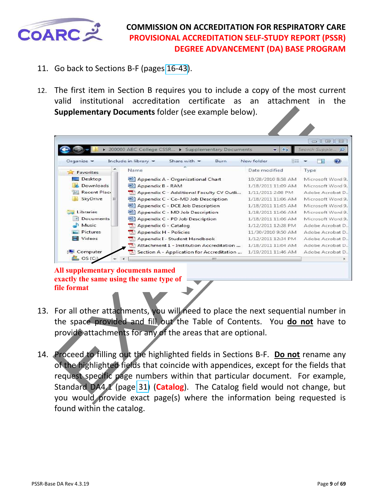

- 11. Go back to Sections B-F (pages [16-43](#page-15-0)).
- 12. The first item in Section B requires you to include a copy of the most current valid institutional accreditation certificate as an attachment in the **Supplementary Documents** folder (see example below).

|                                                                                             | <b>Supplementary Documents folder (see example below).</b>                                                          |                         |                                |
|---------------------------------------------------------------------------------------------|---------------------------------------------------------------------------------------------------------------------|-------------------------|--------------------------------|
|                                                                                             |                                                                                                                     |                         | $\Sigma$<br>$\Box$<br>$\equiv$ |
| Organize -                                                                                  | 200000 ABC College CSSR<br>Supplementary Documents<br>Include in library<br>Burn<br>Share with $\blacktriangledown$ | جه<br>New folder<br>HEE | Search Supple<br>æ             |
| Favorites                                                                                   | Name                                                                                                                | Date modified           | Type                           |
| Desktop                                                                                     | Appendix A - Organizational Chart                                                                                   | 10/28/2010 8:58 AM      | Microsoft Word 9.              |
| Downloads                                                                                   | Appendix B - RAM                                                                                                    | 1/18/2011 11:09 AM      | Microsoft Word 9.              |
| Recent Place                                                                                | Appendix C - Additional Faculty CV Outli                                                                            | 1/11/2011 2:08 PM       | Adobe Acrobat D.,              |
| SkyDrive<br>Ξ                                                                               | Appendix C - Co-MD Job Description                                                                                  | 1/18/2011 11:06 AM      | Microsoft Word 9.              |
|                                                                                             | Appendix C - DCE Job Description                                                                                    | 1/18/2011 11:05 AM      | Microsoft Word 9.              |
| Libraries                                                                                   | Appendix C - MD Job Description                                                                                     | 1/18/2011 11:06 AM      | Microsoft Word 9.              |
| Documents                                                                                   | Appendix C - PD Job Description                                                                                     | 1/18/2011 11:06 AM      | Microsoft Word 9.              |
| Music                                                                                       | Appendix G - Catalog                                                                                                | 1/12/2011 12:28 PM      | Adobe Acrobat D.,              |
| Pictures                                                                                    | Appendix H - Policies                                                                                               | 11/30/2010 9:50 AM      | Adobe Acrobat D.,              |
| <b>Videos</b>                                                                               | Appendix I - Student Handbook                                                                                       | 1/12/2011 12:34 PM      | Adobe Acrobat D.,              |
|                                                                                             | Attachment 1 - Institution Accreditation                                                                            | 1/18/2011 11:04 AM      | Adobe Acrobat D.,              |
| Computer                                                                                    | Section A - Application for Accreditation                                                                           | 1/19/2011 11:46 AM      | Adobe Acrobat D.,              |
| $\omega$ os (C:)                                                                            | ш                                                                                                                   |                         |                                |
| All supplementary documents named<br>exactly the same using the same type of<br>file format |                                                                                                                     |                         |                                |
|                                                                                             | For all other attachments, you will need to place the next sequential number in                                     |                         |                                |
|                                                                                             | the space provided and fill out the Table of Contents. You do not have to                                           |                         |                                |
|                                                                                             | provide attachments for any of the areas that are optional.                                                         |                         |                                |
|                                                                                             | Proceed to filling out the highlighted fields in Sections B-F. Do not rename any                                    |                         |                                |
|                                                                                             | of the highlighted fields that coincide with appendices, except for the fields that                                 |                         |                                |
|                                                                                             | request specific page numbers within that particular document. For example,                                         |                         |                                |
|                                                                                             | Standard DA4.1 (page 31) (Catalog). The Catalog field would not change, but                                         |                         |                                |
|                                                                                             |                                                                                                                     |                         |                                |

#### **All supplementary documents named exactly the same using the same type of file format**

- 13. For all other attachments, you will need to place the next sequential number in the space provided and fill out the Table of Contents. You **do not** have to provide attachments for any of the areas that are optional.
- 14. Proceed to filling out the highlighted fields in Sections B-F. **Do not** rename any of the highlighted fields that coincide with appendices, except for the fields that request specific page numbers within that particular document. For example, Standard DA4.1 (page 31) (**Catalog**). The Catalog field would not change, but you would provide exact page(s) where the information being requested is found within the catalog.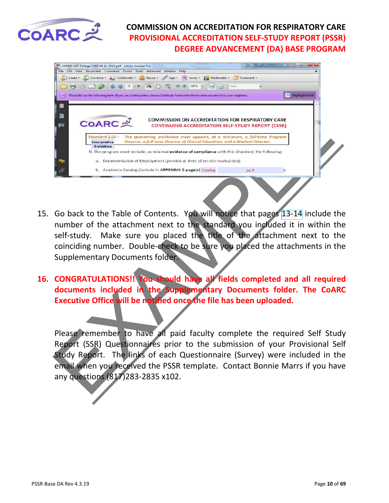

| 200000 ABC College CSSR 04-01-2012.pdf - Adobe Acrobat Pro                                                                                                                                     | <b>CONTRACTOR</b> |
|------------------------------------------------------------------------------------------------------------------------------------------------------------------------------------------------|-------------------|
| File<br>Edit View<br>Document Comments Forms Tools<br>Advanced Window<br>Help<br>Multimedia - Comment -<br>Create + A Combine + A Collaborate + Tr Secure +<br>Sign - $\equiv$ Forms -         |                   |
| m<br><b>Internet</b><br>Find<br>$\frac{1}{4+1}$                                                                                                                                                |                   |
| E<br>Please fill out the following form. If you are a form author, choose Distribute Form in the Forms menu to send it to your recipients.                                                     | Highlight Fields  |
|                                                                                                                                                                                                |                   |
| 脂                                                                                                                                                                                              |                   |
| <b>COMMISSION ON ACCREDITATION FOR RESPIRATORY CARE</b><br><b>COARC 之</b><br>國                                                                                                                 |                   |
| <b>CONTINUING ACCREDITATION SELF-STUDY REPORT (CSSR)</b>                                                                                                                                       |                   |
| Standard 2.03 -<br>The sponsoring institution must appoint, at a minimum, a full-time Program<br>Director, a full-time Director of Clinical Education, and a Medical Director.<br>Interpretive |                   |
| Guideline<br>1) The program must include, as minimal evidence of compliance with this Standard, the following:                                                                                 |                   |
| a. Documentation of Employment (provide at time of on-site evaluation);                                                                                                                        |                   |
| b. Academic Catalog (include in APPENDIX G page(s) Calalog<br>pg #                                                                                                                             | $\mathcal{E}$     |
|                                                                                                                                                                                                |                   |
|                                                                                                                                                                                                |                   |
|                                                                                                                                                                                                |                   |
|                                                                                                                                                                                                |                   |
| Go back to the Table of Contents. You will notice that pages 13-14 include the                                                                                                                 |                   |
|                                                                                                                                                                                                |                   |
| number of the attachment next to the standard you included it in within the                                                                                                                    |                   |
| self-study. Make sure you placed the title of the attachment next to the                                                                                                                       |                   |
| coinciding number. Double-check to be sure you placed the attachments in the                                                                                                                   |                   |
| <b>Supplementary Documents folder.</b>                                                                                                                                                         |                   |
|                                                                                                                                                                                                |                   |
|                                                                                                                                                                                                |                   |
| <b>CONGRATULATIONS!! You should have all fields completed and all required</b>                                                                                                                 |                   |
| documents included in the Supplementary Documents folder. The CoAR                                                                                                                             |                   |
| Executive Office will be notified once the file has been uploaded.                                                                                                                             |                   |
|                                                                                                                                                                                                |                   |
|                                                                                                                                                                                                |                   |
|                                                                                                                                                                                                |                   |
| Please remember to have all paid faculty complete the required Self Study                                                                                                                      |                   |
| Report (SSR) Questionnaires prior to the submission of your Provisional Sel                                                                                                                    |                   |
| Study Report. The links of each Questionnaire (Survey) were included in the                                                                                                                    |                   |
| email when you received the PSSR template. Contact Bonnie Marrs if you have                                                                                                                    |                   |
| any questions (817) 283-2835 x102.                                                                                                                                                             |                   |
|                                                                                                                                                                                                |                   |
|                                                                                                                                                                                                |                   |

- 15. Go back to the Table of Contents. You will notice that pages 13-14 include the number of the attachment next to the standard you included it in within the self-study. Make sure you placed the title of the attachment next to the coinciding number. Double-check to be sure you placed the attachments in the Supplementary Documents folder.
- **16. CONGRATULATIONS!! You should have all fields completed and all required documents included in the Supplementary Documents folder. The CoARC Executive Office will be notified once the file has been uploaded.**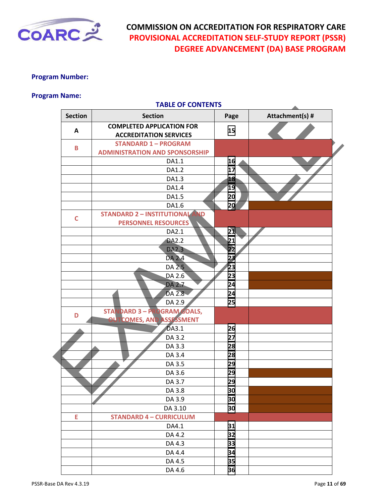<span id="page-10-0"></span>

#### **Program Number:**

#### **Program Name:**

|                | <b>TABLE OF CONTENTS</b>                                          |                |                 |
|----------------|-------------------------------------------------------------------|----------------|-----------------|
| <b>Section</b> | <b>Section</b>                                                    | Page           | Attachment(s) # |
| Α              | <b>COMPLETED APPLICATION FOR</b><br><b>ACCREDITATION SERVICES</b> | 15             |                 |
| B              | <b>STANDARD 1 - PROGRAM</b>                                       |                |                 |
|                | <b>ADMINISTRATION AND SPONSORSHIP</b>                             |                |                 |
|                | DA1.1                                                             | 16             |                 |
|                | DA1.2                                                             | 17             |                 |
|                | DA1.3                                                             | 18             |                 |
|                | DA1.4                                                             | 19             |                 |
|                | DA1.5                                                             | 20             |                 |
|                | DA1.6                                                             | 20             |                 |
| $\mathsf{C}$   | <b>STANDARD 2 - INSTITUTIONAL</b><br><b>ND</b>                    |                |                 |
|                | <b>PERSONNEL RESOURCES</b>                                        |                |                 |
|                | DA2.1                                                             | 21             |                 |
|                | <b>DA2.2</b>                                                      | 21             |                 |
|                | <b>DA2.3</b>                                                      | 22             |                 |
|                | DA 2.4                                                            | 2 <sub>3</sub> |                 |
|                | DA 2.5                                                            | 23             |                 |
|                | DA 2.6                                                            | 23             |                 |
|                | DA 2.7                                                            | 24             |                 |
|                | DA 2.8                                                            | 24             |                 |
|                | DA 2.9                                                            | 25             |                 |
| D              | <b>STANDARD 3 - PROGRAM GOALS,</b>                                |                |                 |
|                | eIJ<br><b>TCOMES, AND ASSESSMENT</b>                              |                |                 |
|                | DA3.1                                                             | 26             |                 |
|                | DA 3.2                                                            | 27             |                 |
|                | DA 3.3                                                            | 28             |                 |
|                | DA 3.4                                                            | 28             |                 |
|                | DA 3.5                                                            | 29             |                 |
|                | DA 3.6                                                            | 29             |                 |
|                | DA 3.7                                                            | 29             |                 |
|                | DA 3.8                                                            | 30             |                 |
|                | DA 3.9                                                            | 30             |                 |
|                | DA 3.10                                                           | 30             |                 |
| E              | <b>STANDARD 4 - CURRICULUM</b>                                    |                |                 |
|                | DA4.1                                                             | 31             |                 |
|                | DA 4.2                                                            | 32             |                 |
|                | DA 4.3                                                            | 33             |                 |
|                | DA 4.4                                                            | 34             |                 |
|                | DA 4.5                                                            | 35             |                 |
|                | DA 4.6                                                            | 36             |                 |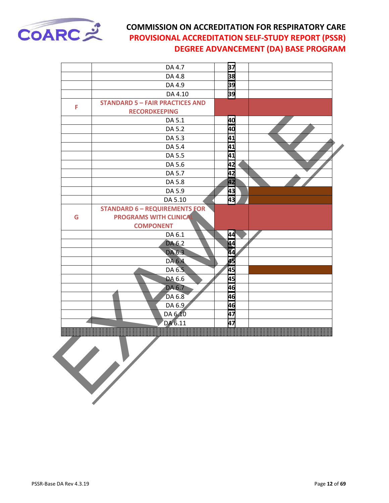

| DA 4.8<br>DA 4.9<br>DA 4.10<br><b>STANDARD 5 - FAIR PRACTICES AND</b><br><b>RECORDKEEPING</b><br>DA 5.1<br>DA 5.2<br>DA 5.3 | 38<br>39<br>39<br>40<br>40                                                                                                                                     |                                                    |
|-----------------------------------------------------------------------------------------------------------------------------|----------------------------------------------------------------------------------------------------------------------------------------------------------------|----------------------------------------------------|
|                                                                                                                             |                                                                                                                                                                |                                                    |
|                                                                                                                             |                                                                                                                                                                |                                                    |
|                                                                                                                             |                                                                                                                                                                |                                                    |
|                                                                                                                             |                                                                                                                                                                |                                                    |
|                                                                                                                             |                                                                                                                                                                |                                                    |
|                                                                                                                             |                                                                                                                                                                |                                                    |
|                                                                                                                             |                                                                                                                                                                |                                                    |
|                                                                                                                             | 41                                                                                                                                                             |                                                    |
| DA 5.4                                                                                                                      | 41                                                                                                                                                             |                                                    |
| DA 5.5                                                                                                                      | 41                                                                                                                                                             |                                                    |
| DA 5.6                                                                                                                      | 42                                                                                                                                                             |                                                    |
|                                                                                                                             | 42                                                                                                                                                             |                                                    |
| DA 5.8                                                                                                                      | 42                                                                                                                                                             |                                                    |
| DA 5.9                                                                                                                      | 43                                                                                                                                                             |                                                    |
| DA 5.10                                                                                                                     | 43                                                                                                                                                             |                                                    |
|                                                                                                                             |                                                                                                                                                                |                                                    |
| <b>PROGRAMS WITH CLINICAL</b>                                                                                               |                                                                                                                                                                |                                                    |
| <b>COMPONENT</b>                                                                                                            |                                                                                                                                                                |                                                    |
|                                                                                                                             | 44                                                                                                                                                             |                                                    |
|                                                                                                                             | 44                                                                                                                                                             |                                                    |
|                                                                                                                             |                                                                                                                                                                |                                                    |
|                                                                                                                             |                                                                                                                                                                |                                                    |
|                                                                                                                             |                                                                                                                                                                |                                                    |
|                                                                                                                             |                                                                                                                                                                |                                                    |
|                                                                                                                             |                                                                                                                                                                |                                                    |
|                                                                                                                             |                                                                                                                                                                |                                                    |
|                                                                                                                             |                                                                                                                                                                |                                                    |
|                                                                                                                             |                                                                                                                                                                |                                                    |
|                                                                                                                             |                                                                                                                                                                |                                                    |
|                                                                                                                             | DA 5.7<br><b>STANDARD 6 - REQUIREMENTS FOR</b><br>DA 6.1<br>DA 6.2<br>DA 6.3<br>DA 6.4<br>DA 6.5<br>DA 6.6<br>DA 6.7<br>DA 6.8<br>DA 6.9<br>DA 6.10<br>DA 6.11 | 44<br>45<br>45<br>45<br>46<br>46<br>46<br>47<br>47 |

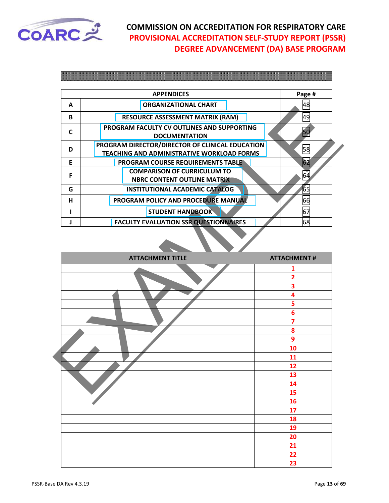<span id="page-12-0"></span>

|   | <b>APPENDICES</b>                                                                                    | Page # |
|---|------------------------------------------------------------------------------------------------------|--------|
| A | <b>ORGANIZATIONAL CHART</b>                                                                          | 48     |
| B | <b>RESOURCE ASSESSMENT MATRIX (RAM)</b>                                                              | 49     |
| C | PROGRAM FACULTY CV OUTLINES AND SUPPORTING<br><b>DOCUMENTATION</b>                                   |        |
| D | PROGRAM DIRECTOR/DIRECTOR OF CLINICAL EDUCATION<br><b>TEACHING AND ADMINISTRATIVE WORKLOAD FORMS</b> | 58     |
| F | <b>PROGRAM COURSE REQUIREMENTS TABLE</b>                                                             | 62     |
| F | <b>COMPARISON OF CURRICULUM TO</b><br><b>NBRC CONTENT OUTLINE MATRIX</b>                             | 64     |
| G | <b>INSTITUTIONAL ACADEMIC CATALOG</b>                                                                | 65     |
| н | PROGRAM POLICY AND PROCEDURE MANUAL                                                                  | 66     |
|   | <b>STUDENT HANDBOOK</b>                                                                              | 67     |
|   | <b>FACULTY EVALUATION SSR QUESTIONNAIRES</b>                                                         | 68     |

| $\mathbf{r}$ | UNUAINIZATIUINAL LIIANT                                                                              | 40                 |
|--------------|------------------------------------------------------------------------------------------------------|--------------------|
| B            | <b>RESOURCE ASSESSMENT MATRIX (RAM)</b>                                                              | 49                 |
| $\mathsf{C}$ | PROGRAM FACULTY CV OUTLINES AND SUPPORTING<br><b>DOCUMENTATION</b>                                   | 50                 |
| D            | PROGRAM DIRECTOR/DIRECTOR OF CLINICAL EDUCATION<br><b>TEACHING AND ADMINISTRATIVE WORKLOAD FORMS</b> | 58                 |
| E            | <b>PROGRAM COURSE REQUIREMENTS TABLE</b>                                                             | 62                 |
| F            | <b>COMPARISON OF CURRICULUM TO</b><br><b>NBRC CONTENT OUTLINE MATRIX</b>                             | 64                 |
| G            | <b>INSTITUTIONAL ACADEMIC CATALOG</b>                                                                | 65                 |
| н            | PROGRAM POLICY AND PROCEDURE MANUAL                                                                  | 66                 |
| п            | <b>STUDENT HANDBOOK</b>                                                                              | 67                 |
| J            | <b>FACULTY EVALUATION SSR QUESTIONNAIRES</b>                                                         | 68                 |
|              | <b>ATTACHMENT TITLE</b>                                                                              | <b>ATTACHMENT#</b> |
|              |                                                                                                      |                    |
|              |                                                                                                      | 2                  |
|              |                                                                                                      | 3                  |
|              |                                                                                                      | 4                  |
|              |                                                                                                      | 5                  |
|              |                                                                                                      | 6                  |
|              |                                                                                                      | 7                  |
|              |                                                                                                      | 8                  |
|              |                                                                                                      | 9                  |
|              |                                                                                                      | 10                 |
|              |                                                                                                      | 11                 |
|              |                                                                                                      | 12<br>13           |
|              |                                                                                                      | 14                 |
|              |                                                                                                      | 15                 |
|              |                                                                                                      | 16                 |
|              |                                                                                                      | 17                 |
|              |                                                                                                      | 18                 |
|              |                                                                                                      | 19                 |
|              |                                                                                                      | 20                 |
|              |                                                                                                      | 21                 |
|              |                                                                                                      | 22                 |
|              |                                                                                                      | 23                 |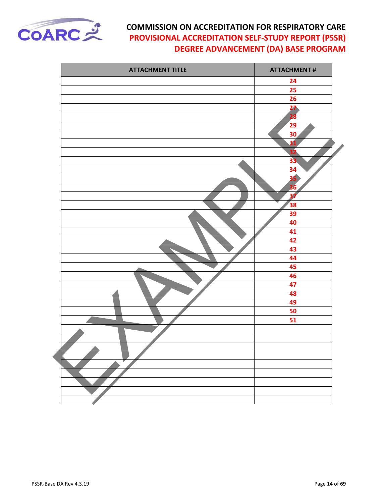

| <b>ATTACHMENT TITLE</b> | <b>ATTACHMENT#</b>       |
|-------------------------|--------------------------|
|                         | 24                       |
|                         | 25                       |
|                         | 26                       |
|                         | $\frac{27}{28}$          |
|                         |                          |
|                         | 29                       |
|                         | 30                       |
|                         | $\overline{31}$          |
|                         | 32                       |
|                         | 33                       |
|                         | 34                       |
|                         | 35                       |
|                         | 36                       |
|                         | $\overline{\mathbf{37}}$ |
|                         | 38                       |
|                         | 39                       |
|                         | 40                       |
|                         | 41                       |
|                         | 42                       |
|                         | 43<br>44                 |
|                         |                          |
|                         | 45<br>46                 |
|                         | 47                       |
|                         | 48                       |
|                         | 49                       |
|                         | 50                       |
|                         | 51                       |
|                         |                          |
|                         |                          |
|                         |                          |
|                         |                          |
|                         |                          |
|                         |                          |
|                         |                          |
|                         |                          |
|                         |                          |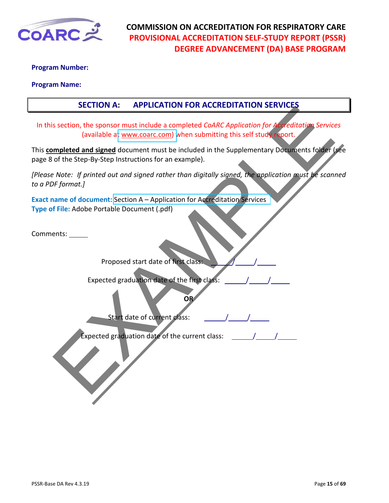<span id="page-14-0"></span>

#### **Program Number:**

#### **Program Name:**

#### **SECTION A: APPLICATION FOR ACCREDITATION SERVICES**

In this section, the sponsor must include a completed *CoARC Application for Accreditation Services* (available at www.coarc.com) when submitting this self study report.

Section, the sponsor must include a completed CoARC Application for Accelerations Service<br>
section, the sponsor must include a completed CoARC Application for Accelitations Service<br>
includible at www.concret.com) when subm This **completed and signed** document must be included in the Supplementary Documents folder (see page 8 of the Step-By-Step Instructions for an example).

*[Please Note: If printed out and signed rather than digitally signed, the application must be scanned to a PDF format.]*

**Exact name of document:** Section A – Application for Accreditation Services **Type of File:** Adobe Portable Document (.pdf)

Comments:

Proposed start date of first class:

Expected graduation date of the first class:

Start date of current class:

Expected graduation date of the current class:

**OR**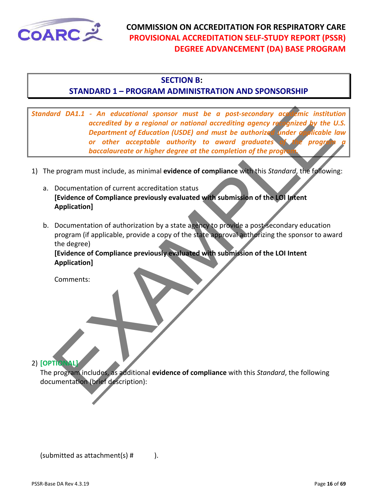<span id="page-15-0"></span>

#### **SECTION B:**

#### **STANDARD 1 – PROGRAM ADMINISTRATION AND SPONSORSHIP**

Inc. 3. An educational sponsor must be a post-secondary act emic institute accretite by a regional or national accretions accretions of principal particular of education (USDE) and must be authorized indetermination of oth *Standard DA1.1 - An educational sponsor must be a post-secondary academic institution accredited by a regional or national accrediting agency recognized by the U.S. Department of Education (USDE) and must be authorized under applicable law or other acceptable authority to award graduates of the program a baccalaureate or higher degree at the completion of the program.*

- 1) The program must include, as minimal **evidence of compliance** with this *Standard*, the following:
	- a. Documentation of current accreditation status **[Evidence of Compliance previously evaluated with submission of the LOI Intent Application]**
	- b. Documentation of authorization by a state agency to provide a post-secondary education program (if applicable, provide a copy of the state approval authorizing the sponsor to award the degree)

**[Evidence of Compliance previously evaluated with submission of the LOI Intent Application]**

Comments:

#### 2) **[OPTIONAL]**

The program includes, as additional **evidence of compliance** with this *Standard*, the following documentation (brief description):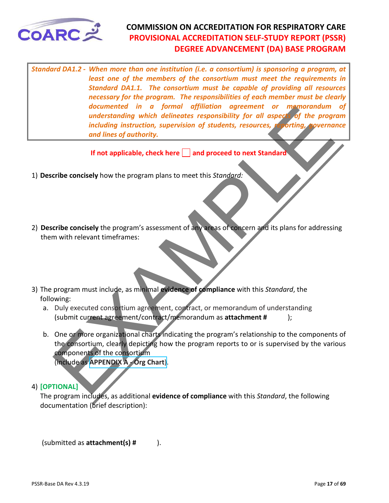<span id="page-16-0"></span>

*Standard DA1.2 - When more than one institution (i.e. a consortium) is sponsoring a program, at least one of the members of the consortium must meet the requirements in Standard DA1.1. The consortium must be capable of providing all resources necessary for the program. The responsibilities of each member must be clearly documented in a formal affiliation agreement or memorandum of understanding which delineates responsibility for all aspects of the program including instruction, supervision of students, resources, reporting, governance and lines of authority.* 

**If not applicable, check here | | and proceed to next Standard** 

- 1) **Describe concisely** how the program plans to meet this *Standard:*
- 2) **Describe concisely** the program's assessment of any areas of concern and its plans for addressing them with relevant timeframes:
- 3) The program must include, as minimal **evidence of compliance** with this *Standard*, the following:
	- a. Duly executed consortium agreement, contract, or memorandum of understanding (submit current agreement/contract/memorandum as **attachment #** );
- *documented nn a jointing which delinedes responsibility for all aspect of the program<br>understanding which delinedes responsibility for all aspect of the program<br>including instruction, supervision of students, resources,* b. One or more organizational charts indicating the program's relationship to the components of the consortium, clearly depicting how the program reports to or is supervised by the various components of the consortium (include as **APPENDIX A - Org Chart**).

#### 4) **[OPTIONAL]**

The program includes, as additional **evidence of compliance** with this *Standard*, the following documentation (brief description):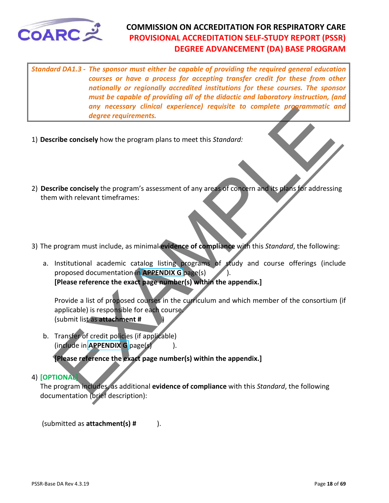<span id="page-17-0"></span>

*Standard DA1.3 - The sponsor must either be capable of providing the required general education courses or have a process for accepting transfer credit for these from other nationally or regionally accredited institutions for these courses. The sponsor must be capable of providing all of the didactic and laboratory instruction, (and any necessary clinical experience) requisite to complete programmatic and degree requirements.* 

- 1) **Describe concisely** how the program plans to meet this *Standard:*
- 2) **Describe concisely** the program's assessment of any areas of concern and its plans for addressing them with relevant timeframes:
- 3) The program must include, as minimal **evidence of compliance** with this *Standard*, the following:
- any necessary clinical experience) requisite to complete programmatic in degree requirements.<br>
Tribe concisely how the program plans to meet this Standard:<br>
Tribe concisely the program's assessment of any areas of concern a. Institutional academic catalog listing programs of study and course offerings (include proposed documentation in **APPENDIX G** page(s)). **[Please reference the exact page number(s) within the appendix.]**

Provide a list of proposed courses in the curriculum and which member of the consortium (if applicable) is responsible for each course. (submit list as **attachment #** )

b. Transfer of credit policies (if applicable) (include in **APPENDIX G** page(s)).

**[Please reference the exact page number(s) within the appendix.]**

#### 4) **[OPTIONAL]**

The program includes, as additional **evidence of compliance** with this *Standard*, the following documentation (brief description):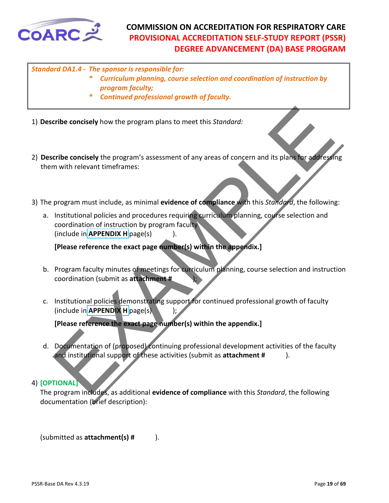<span id="page-18-0"></span>

#### *Standard DA1.4 - The sponsor is responsible for:*

- *\* Curriculum planning, course selection and coordination of instruction by program faculty;*
- *\* Continued professional growth of faculty.*
- 1) **Describe concisely** how the program plans to meet this *Standard:*
- 2) **Describe concisely** the program's assessment of any areas of concern and its plans for addressing them with relevant timeframes:
- 3) The program must include, as minimal **evidence of compliance** with this *Standard*, the following:
- Example the concisely how the program plans to meet this *Standard:*<br>
Tribe concisely the program's assessment of any areas of concern and its plans for add rest<br>
multi-relevant time frames:<br>
program must include, as minim a. Institutional policies and procedures requiring curriculum planning, course selection and coordination of instruction by program faculty (include in **APPENDIX H** page(s) ).

**[Please reference the exact page number(s) within the appendix.]**

- b. Program faculty minutes of meetings for curriculum planning, course selection and instruction coordination (submit as **attachment #** );
- c. Institutional policies demonstrating support for continued professional growth of faculty (include in **APPENDIX H** page(s) );

**[Please reference the exact page number(s) within the appendix.]**

d. Documentation of (proposed) continuing professional development activities of the faculty and institutional support of these activities (submit as **attachment #** ).

#### 4) **[OPTIONAL]**

The program includes, as additional **evidence of compliance** with this *Standard*, the following documentation (brief description):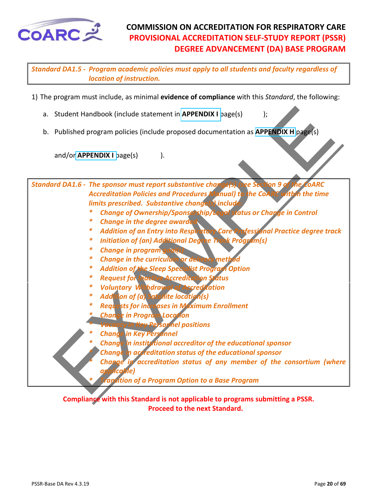<span id="page-19-0"></span>

*Standard DA1.5 - Program academic policies must apply to all students and faculty regardless of location of instruction.*

- 1) The program must include, as minimal **evidence of compliance** with this *Standard*, the following:
	- a. Student Handbook (include statement in **APPENDIX I** page(s) );
	- b. Published program policies (include proposed documentation as **APPENDIX H** page(s)

and/or **APPENDIX I** page(s)  $\qquad$  ).

Student Handbook (include statement in APPENDIX I page(s)<br>
Published program policies (include proposed documentation as APPENDIX II page(s)<br>
and/or APPENDIX I page(s)<br>
.<br>
In the DA1.6 - The sponsor must report substantive *Standard DA1.6 - The sponsor must report substantive change(s) (see Section 9 of the CoARC Accreditation Policies and Procedures Manual) to the CoARC within the time limits prescribed. Substantive change(s) include* 

- *\* Change of Ownership/Sponsorship/Legal status or Change in Control*
- **Change in the degree awarded**
- *\* Addition of an Entry into Respiratory Care Professional Practice degree track*
- *\* Initiation of (an) Additional Degree Track Program(s)*
- *\* Change in program goal(s)*
- *Change in the curriculum or delivery method in the curriculum or delivered*
- *\* Addition of the Sleep Specialist Program Option*
- *\* Request for Inactive Accreditation Status*
- *\* Voluntary Withdrawal of Accreditation*
- *\* Addition of (a) Satellite location(s)*
- *\* Requests for increases in Maximum Enrollment*
- *\* Change in Program Location* 
	- $$
- *\* Change in Key Personnel*
- *\* Change in institutional accreditor of the educational sponsor*
- *\* Change in accreditation status of the educational sponsor*
- Change in accreditation status of any member of the consortium (where  *applicable)* 
	- *\* Transition of a Program Option to a Base Program*

**Compliance with this Standard is not applicable to programs submitting a PSSR. Proceed to the next Standard.**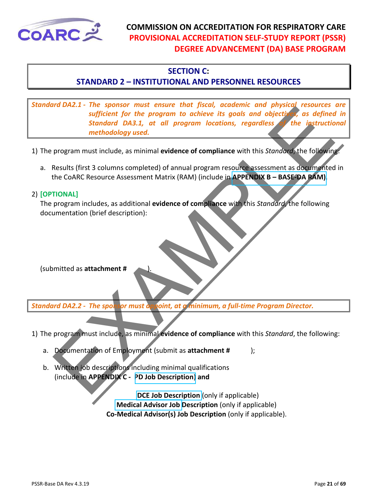<span id="page-20-0"></span>

#### **SECTION C:**

#### **STANDARD 2 – INSTITUTIONAL AND PERSONNEL RESOURCES**

in the spinon must ensure that is both the program to achieve its goals and objects as defined<br>standard DA3.1, at all program locations, regardless the instruction<br>formation of the program include, as minimal evidence of c *Standard DA2.1 - The sponsor must ensure that fiscal, academic and physical resources are sufficient for the program to achieve its goals and objectives, as defined in Standard DA3.1, at all program locations, regardless of the instructional methodology used.*

- 1) The program must include, as minimal **evidence of compliance** with this *Standard*, the following:
	- a. Results (first 3 columns completed) of annual program resource assessment as documented in the CoARC Resource Assessment Matrix (RAM) (include in **APPENDIX B – BASE-DA RAM)**.

#### 2) **[OPTIONAL]**

The program includes, as additional **evidence of compliance** with this *Standard*, the following documentation (brief description):

(submitted as **attachment #** ).

*Standard DA2.2 - The sponsor must appoint, at a minimum, a full-time Program Director.*

- 1) The program must include, as minimal **evidence of compliance** with this *Standard*, the following:
	- a. Documentation of Employment (submit as **attachment #** );
	- b. Written job descriptions including minimal qualifications (include in **APPENDIX C - PD Job Description**) **and**

 **DCE Job Description** (only if applicable) **Medical Advisor Job Description** (only if applicable) **Co-Medical Advisor(s) Job Description** (only if applicable).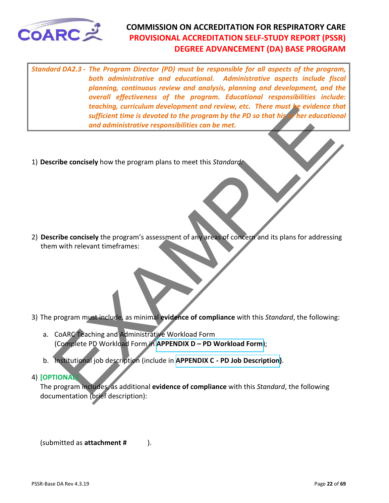<span id="page-21-0"></span>

sufficient time is devoted to the program by the PD so that his there are the stated to the program by the PD so that his the education and administrative responsibilities can be met.<br>
The concisely how the program's asses *Standard DA2.3 - The Program Director (PD) must be responsible for all aspects of the program, both administrative and educational. Administrative aspects include fiscal planning, continuous review and analysis, planning and development, and the overall effectiveness of the program. Educational responsibilities include: teaching, curriculum development and review, etc. There must be evidence that sufficient time is devoted to the program by the PD so that his or her educational and administrative responsibilities can be met.* 

1) **Describe concisely** how the program plans to meet this *Standard:*

2) **Describe concisely** the program's assessment of any areas of concern and its plans for addressing them with relevant timeframes:

- 3) The program must include, as minimal **evidence of compliance** with this *Standard*, the following:
	- a. CoARC Teaching and Administrative Workload Form (Complete PD Workload Form in **APPENDIX D – PD Workload Form)**;
	- b. Institutional job description (include in **APPENDIX C PD Job Description)**.

#### 4) **[OPTIONAL]**

The program includes, as additional **evidence of compliance** with this *Standard*, the following documentation (brief description):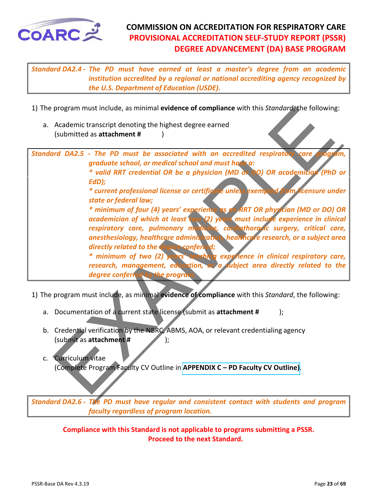<span id="page-22-0"></span>

*Standard DA2.4 - The PD must have earned at least a master's degree from an academic institution accredited by a regional or national accrediting agency recognized by the U.S. Department of Education (USDE).* 

- 1) The program must include, as minimal **evidence of compliance** with this *Standard*, the following:
	- a. Academic transcript denoting the highest degree earned (submitted as **attachment #** )

| 1) The program must include, as minimal evidence of compliance with this Standard, the following:                                                                                                                                                                                                                                                                                                                                                                                                                                                                                                                                                                                                                                                                                                                                                                                                                                             |
|-----------------------------------------------------------------------------------------------------------------------------------------------------------------------------------------------------------------------------------------------------------------------------------------------------------------------------------------------------------------------------------------------------------------------------------------------------------------------------------------------------------------------------------------------------------------------------------------------------------------------------------------------------------------------------------------------------------------------------------------------------------------------------------------------------------------------------------------------------------------------------------------------------------------------------------------------|
| a. Academic transcript denoting the highest degree earned<br>(submitted as attachment #                                                                                                                                                                                                                                                                                                                                                                                                                                                                                                                                                                                                                                                                                                                                                                                                                                                       |
| Standard DA2.5 - The PD must be associated with an accredited respiratory care<br>prógram.<br>graduate school, or medical school and must have a:<br>* valid RRT credential OR be a physician (MD or DO) OR academician (PhD or<br>EdD);<br>* current professional license or certificate unless exempted from licensure under<br>state or federal law;<br>* minimum of four (4) years' experience as an RRT OR physician (MD or DO) OR<br>academician of which at least (wo (2) years must include experience in clinical<br>respiratory care, pulmonary medicine, cardiothorodic surgery, critical care,<br>anesthesiology, healthcare administration, healthcare research, or a subject area<br>directly related to the degree conferred;<br>* minimum of two (2) years teaching experience in clinical respiratory care,<br>research, management, education, or a subject area directly related to the<br>degree conferred by the program |
| 1) The program must include, as minimal evidence of compliance with this Standard, the following:<br>a. Documentation of a current state license (submit as attachment #<br>$\mathbf{)}$                                                                                                                                                                                                                                                                                                                                                                                                                                                                                                                                                                                                                                                                                                                                                      |
| b. Credential verification by the NBRC, ABMS, AOA, or relevant credentialing agency<br>(submit as attachment #<br>Curriculum vitae<br>$\mathsf{C}$ .<br>(Complete Program Faculty CV Outline in APPENDIX C - PD Faculty CV Outline).                                                                                                                                                                                                                                                                                                                                                                                                                                                                                                                                                                                                                                                                                                          |

- a. Documentation of a current state license (submit as **attachment #** );
- b. Credential verification by the NBRC, ABMS, AOA, or relevant credentialing agency (submit as **attachment #** );
- c. Curriculum vitae (Complete Program Faculty CV Outline in **APPENDIX C – PD Faculty CV Outline)**.

*Standard DA2.6 - The PD must have regular and consistent contact with students and program faculty regardless of program location.*

**Compliance with this Standard is not applicable to programs submitting a PSSR. Proceed to the next Standard.**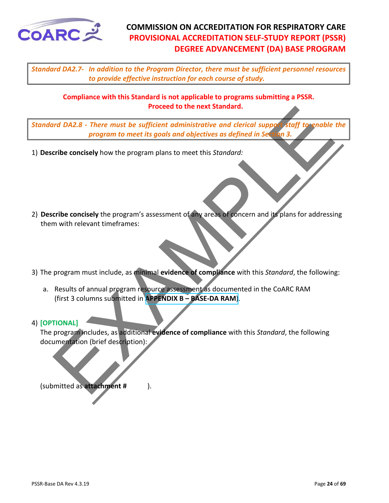<span id="page-23-0"></span>

*Standard DA2.7- In addition to the Program Director, there must be sufficient personnel resources to provide effective instruction for each course of study.*

**Compliance with this Standard is not applicable to programs submitting a PSSR. Proceed to the next Standard.**

*Standard DA2.8 - There must be sufficient administrative and clerical support staff to enable the program to meet its goals and objectives as defined in Section 3.*

- 1) **Describe concisely** how the program plans to meet this *Standard:*
- Proceed to the next standard.<br>
Program to meet its goals and objectives as defined in Section 3.1979<br>
Program to meet its goals and objectives as defined in Section 3.3<br>
Tribe concisely how the program's assessment of any 2) **Describe concisely** the program's assessment of any areas of concern and its plans for addressing them with relevant timeframes:
- 3) The program must include, as minimal **evidence of compliance** with this *Standard*, the following:
	- a. Results of annual program resource assessment as documented in the CoARC RAM (first 3 columns submitted in **APPENDIX B – BASE-DA RAM**).

#### 4) **[OPTIONAL]**

The program includes, as additional **evidence of compliance** with this *Standard*, the following documentation (brief description):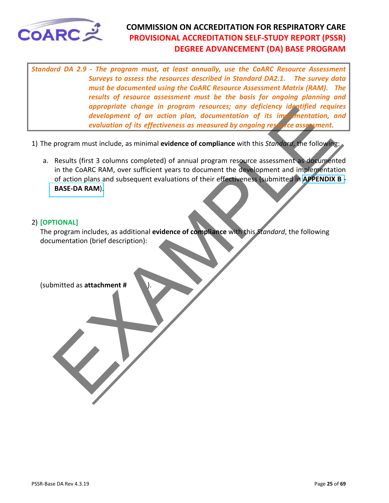<span id="page-24-0"></span>

*Standard DA 2.9 - The program must, at least annually, use the CoARC Resource Assessment Surveys to assess the resources described in Standard DA2.1. The survey data must be documented using the CoARC Resource Assessment Matrix (RAM). The results of resource assessment must be the basis for ongoing planning and appropriate change in program resources; any deficiency identified requires development of an action plan, documentation of its implementation, and evaluation of its effectiveness as measured by ongoing resource assessment.* 

- 1) The program must include, as minimal **evidence of compliance** with this *Standard*, the following:
- development of an action plan, documentation of its improvement of an action plan, documentation of its improvement of an action plan, documentation of its improvement.<br>
evaluation of its effectiveness as measured by ongoi a. Results (first 3 columns completed) of annual program resource assessment as documented in the CoARC RAM, over sufficient years to document the development and implementation of action plans and subsequent evaluations of their effectiveness (submitted in **APPENDIX B - BASE-DA RAM**).

#### 2) **[OPTIONAL]**

The program includes, as additional **evidence of compliance** with this *Standard*, the following documentation (brief description):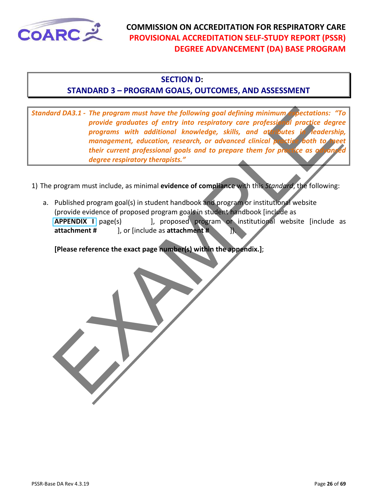<span id="page-25-0"></span>

#### **SECTION D:**

#### **STANDARD 3 – PROGRAM GOALS, OUTCOMES, AND ASSESSMENT**

International and DAS.1 - The program must have the following goal defining minimum pectations:<br>
programs with additional knowledge, skills, and at only the signal peace dependent, execution, research, or advanced clinical *Standard DA3.1 - The program must have the following goal defining minimum expectations: "To provide graduates of entry into respiratory care professional practice degree programs with additional knowledge, skills, and attributes in leadership, management, education, research, or advanced clinical practice both to their current professional goals and to prepare them for practice as a degree respiratory therapists."* 

1) The program must include, as minimal **evidence of compliance** with this *Standard*, the following:

a. Published program goal(s) in student handbook and program or institutional website (provide evidence of proposed program goals in student handbook [include as **APPENDIX I** page(s) [1], proposed program or institutional website [include as **attachment #** ], or [include as **attachment #** ]).

**[Please reference the exact page number(s) within the appendix.]**;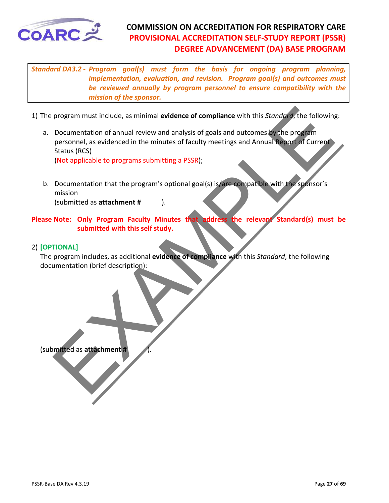<span id="page-26-0"></span>

*Standard DA3.2 - Program goal(s) must form the basis for ongoing program planning, implementation, evaluation, and revision. Program goal(s) and outcomes must be reviewed annually by program personnel to ensure compatibility with the mission of the sponsor.* 

- 1) The program must include, as minimal **evidence of compliance** with this *Standard*, the following:
- program must include, as minimal evidence of compliance with this *Standary*, the following<br>Documentation of annual review and analysis of goals and outcomes by the program<br>personnel, as evidenced in the minutes of faculty a. Documentation of annual review and analysis of goals and outcomes by the program personnel, as evidenced in the minutes of faculty meetings and Annual Report of Current Status (RCS)

(Not applicable to programs submitting a PSSR);

b. Documentation that the program's optional goal(s) is/are compatible with the sponsor's mission

(submitted as **attachment #** ).

**Please Note: Only Program Faculty Minutes that address the relevant Standard(s) must be submitted with this self study.** 

#### 2) **[OPTIONAL]**

The program includes, as additional **evidence of compliance** with this *Standard*, the following documentation (brief description):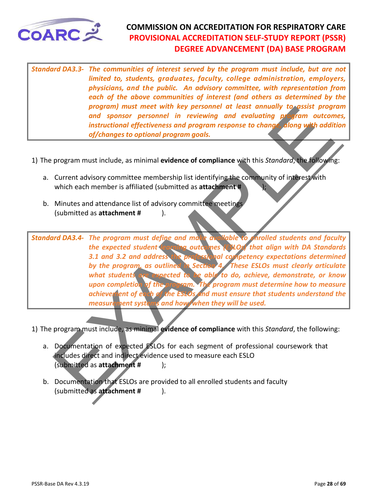<span id="page-27-0"></span>

*Standard DA3.3- The communities of interest served by the program must include, but are not limited to, students, graduates, faculty, college administration, employers, physicians, and the public. An advisory committee, with representation from each of the above communities of interest (and others as determined by the program) must meet with key personnel at least annually to assist program and sponsor personnel in reviewing and evaluating program outcomes, instructional effectiveness and program response to change, along with addition of/changes to optional program goals.* 

- 1) The program must include, as minimal **evidence of compliance** with this *Standard*, the following:
	- a. Current advisory committee membership list identifying the community of interest with which each member is affiliated (submitted as **attachment #** );
	- b. Minutes and attendance list of advisory committee meetings (submitted as **attachment #** ).

program must include, as minimal officence of compliance with this Strandard, the following<br>property and sonsor personnel in reviewing and evaluating profession of instructional effectiveness and program response to change *Standard DA3.4- The program must define and make available to enrolled students and faculty the expected student learning outcomes (ESLOs) that align with DA Standards 3.1 and 3.2 and address the professional competency expectations determined by the program, as outlined in Section 4. These ESLOs must clearly articulate what students are expected to be able to do, achieve, demonstrate, or know upon completion of the program. The program must determine how to measure achievement of each of the ESLOs and must ensure that students understand the measurement systems and how/when they will be used.*

- 1) The program must include, as minimal **evidence of compliance** with this *Standard*, the following:
	- a. Documentation of expected ESLOs for each segment of professional coursework that includes direct and indirect evidence used to measure each ESLO (submitted as **attachment #** );
	- b. Documentation that ESLOs are provided to all enrolled students and faculty (submitted as **attachment #** ).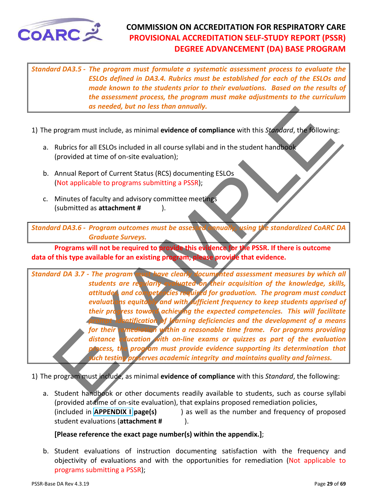<span id="page-28-0"></span>

*Standard DA3.5 - The program must formulate a systematic assessment process to evaluate the ESLOs defined in DA3.4. Rubrics must be established for each of the ESLOs and made known to the students prior to their evaluations. Based on the results of the assessment process, the program must make adjustments to the curriculum as needed, but no less than annually.* 

- 1) The program must include, as minimal **evidence of compliance** with this *Standard*, the following:
	- a. Rubrics for all ESLOs included in all course syllabi and in the student handbook (provided at time of on-site evaluation);
	- b. Annual Report of Current Status (RCS) documenting ESLOs (Not applicable to programs submitting a PSSR);
	- c. Minutes of faculty and advisory committee meetings (submitted as **attachment #** ).

*Standard DA3.6 - Program outcomes must be assessed annually, using the standardized CoARC DA Graduate Surveys.*

**Programs will not be required to provide this evidence for the PSSR. If there is outcome data of this type available for an existing program, please provide that evidence.** 

or<br>
and must include, as minimal evidence of compliance with this *Standard*, the included<br>
Rubrics for all ESLOs included in all course syllabi and in the student handbook<br>
(provided at time of on-site evaluation);<br>
Annua *Standard DA 3.7 - The program must have clearly documented assessment measures by which all students are regularly evaluated on their acquisition of the knowledge, skills, attitudes, and competencies required for graduation. The program must conduct evaluations equitably and with sufficient frequency to keep students apprised of their progress toward achieving the expected competencies. This will facilitate*  **Promission of learning deficiencies and the development of a means** *for their remediation within a reasonable time frame. For programs providing distance education with on-line exams or quizzes as part of the evaluation process, the program must provide evidence supporting its determination that such testing preserves academic integrity and maintains quality and fairness.* 

1) The program must include, as minimal **evidence of compliance** with this *Standard*, the following:

a. Student handbook or other documents readily available to students, such as course syllabi (provided at time of on-site evaluation), that explains proposed remediation policies, (included in **APPENDIX I page(s)** ) as well as the number and frequency of proposed student evaluations (**attachment #** ).

#### **[Please reference the exact page number(s) within the appendix.]**;

b. Student evaluations of instruction documenting satisfaction with the frequency and objectivity of evaluations and with the opportunities for remediation (Not applicable to programs submitting a PSSR);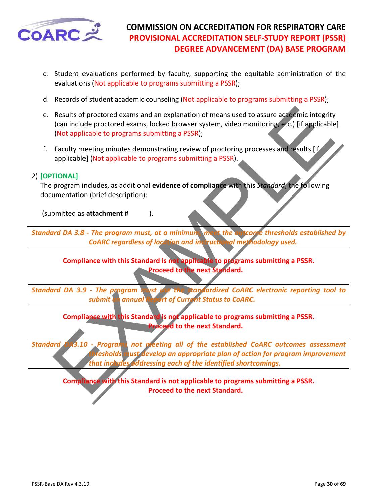<span id="page-29-0"></span>

- c. Student evaluations performed by faculty, supporting the equitable administration of the evaluations (Not applicable to programs submitting a PSSR);
- d. Records of student academic counseling (Not applicable to programs submitting a PSSR);
- e. Results of proctored exams and an explanation of means used to assure academic integrity (can include proctored exams, locked browser system, video monitoring, etc.) [if applicable] (Not applicable to programs submitting a PSSR);
- f. Faculty meeting minutes demonstrating review of proctoring processes and results [if applicable] (Not applicable to programs submitting a PSSR).

#### 2) **[OPTIONAL]**

The program includes, as additional **evidence of compliance** with this *Standard*, the following documentation (brief description):

(submitted as **attachment #** ).

*Standard DA 3.8 - The program must, at a minimum, meet the outcome thresholds established by CoARC regardless of location and instructional methodology used.* 

**Compliance with this Standard is not applicable to programs submitting a PSSR. Proceed to the next Standard.**

*Standard DA 3.9 - The program must use the standardized CoARC electronic reporting tool to submit an annual Report of Current Status to CoARC.* 

> **Compliance with this Standard is not applicable to programs submitting a PSSR. Proceed to the next Standard.**

Results of proctored exams and an explanation of means used to assure academic integrity<br>
(can include proctored exams locked browser system, video monitoring etc.) [if applicable<br>
(Not applicable to programs submitting a *Standard DA3.10 - Programs not meeting all of the established CoARC outcomes assessment thresholds* must develop an appropriate plan of action for program improvement *that includes addressing each of the identified shortcomings.*

**Compliance with this Standard is not applicable to programs submitting a PSSR. Proceed to the next Standard.**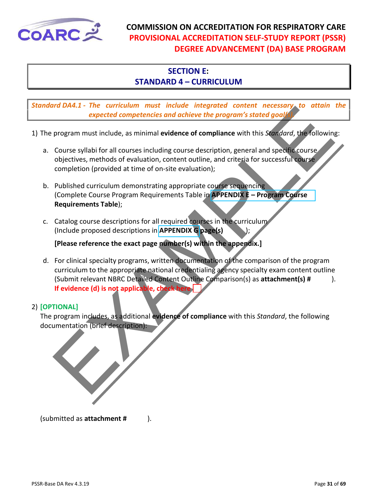<span id="page-30-0"></span>

# **SECTION E:**

# **STANDARD 4 – CURRICULUM**

*Standard DA4.1 - The curriculum must include integrated content necessary to attain the*  **expected competencies and achieve the program's stated goal** 

- 1) The program must include, as minimal **evidence of compliance** with this *Standard*, the following:
	- a. Course syllabi for all courses including course description, general and specific course objectives, methods of evaluation, content outline, and criteria for successful course completion (provided at time of on-site evaluation);
	- b. Published curriculum demonstrating appropriate course sequencing (Complete Course Program Requirements Table in **APPENDIX E – Program Course Requirements Table**);
	- c. Catalog course descriptions for all required courses in the curriculum (Include proposed descriptions in **APPENDIX G page(s)** );

**[Please reference the exact page number(s) within the appendix.]**

The Burstian minimum mast include and other the program's stoted good<br>
program must include, as minimal evidence of compliance with this *Standard*, the following<br>
program must include, as minimal evidence of compliance wi d. For clinical specialty programs, written documentation of the comparison of the program curriculum to the appropriate national credentialing agency specialty exam content outline (Submit relevant NBRC Detailed Content Outline Comparison(s) as **attachment(s) #** ). **If evidence (d) is not applicable, check here** 

#### 2) **[OPTIONAL]**

The program includes, as additional **evidence of compliance** with this *Standard*, the following documentation (brief description):

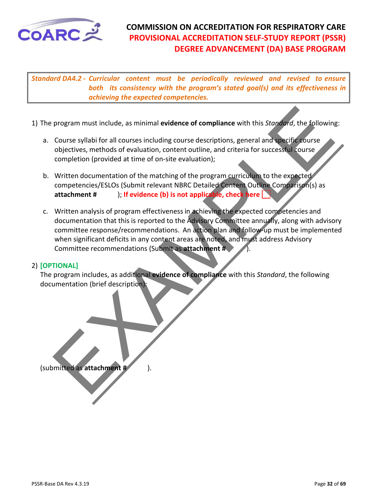

*Standard DA4.2 - Curricular content must be periodically reviewed and revised to ensure both its consistency with the program's stated goal(s) and its effectiveness in achieving the expected competencies.* 

- 1) The program must include, as minimal **evidence of compliance** with this *Standard*, the following:
	- a. Course syllabi for all courses including course descriptions, general and specific course objectives, methods of evaluation, content outline, and criteria for successful course completion (provided at time of on-site evaluation);
	- b. Written documentation of the matching of the program curriculum to the expected competencies/ESLOs (Submit relevant NBRC Detailed Content Outline Comparison(s) as **attachment #** ); **If evidence (b) is not applicable, check here**
- program must include, as minimal evidence of compliance with this *Stordard*, the following<br>Course syllabi for all courses including course descriptions, general and specific course<br>objectives, methods of evaluation, conte c. Written analysis of program effectiveness in achieving the expected competencies and documentation that this is reported to the Advisory Committee annually, along with advisory committee response/recommendations. An action plan and follow-up must be implemented when significant deficits in any content areas are noted, and must address Advisory Committee recommendations (Submit as **attachment #** ).

#### 2) **[OPTIONAL]**

The program includes, as additional **evidence of compliance** with this *Standard*, the following documentation (brief description):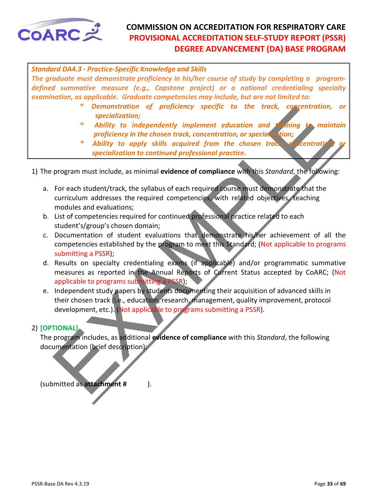<span id="page-32-0"></span>

*Standard DA4.3 - Practice-Specific Knowledge and Skills* 

*The graduate must demonstrate proficiency in his/her course of study by completing a programdefined summative measure (e.g., Capstone project) or a national credentialing specialty examination, as applicable. Graduate competencies may include, but are not limited to:* 

- *\* Demonstration of proficiency specific to the track, concentration, or specialization;*
- *\* Ability to independently implement education and training to maintain proficiency in the chosen track, concentration, or specialization;*
- Ability to apply skills acquired from the chosen track, concentrati  *specialization to continued professional practice.*

1) The program must include, as minimal **evidence of compliance** with this *Standard*, the following:

- a. For each student/track, the syllabus of each required course must demonstrate that the curriculum addresses the required competencies, with related objectives, teaching modules and evaluations;
- b. List of competencies required for continued professional practice related to each student's/group's chosen domain;
- c. Documentation of student evaluations that demonstrate his/her achievement of all the competencies established by the program to meet this Standard; (Not applicable to programs submitting a PSSR);
- d. Results on specialty credentialing exams (if applicable) and/or programmatic summative measures as reported in the Annual Reports of Current Status accepted by CoARC; (Not applicable to programs submitting a PSSR);
- mentarities are electronical proprietion of proprietion of proprietion and proprietion and the second with the second the chosen track, concernation, a specialization to consider the chosen track of concernation or special e. Independent study papers by students documenting their acquisition of advanced skills in their chosen track (i.e., education, research, management, quality improvement, protocol development, etc.). (Not applicable to programs submitting a PSSR).

#### 2) **[OPTIONAL]**

The program includes, as additional **evidence of compliance** with this *Standard*, the following documentation (brief description):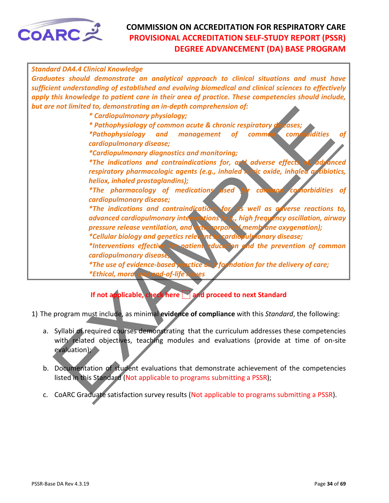

| <b>Standard DA4.4 Clinical Knowledge</b>                                                                                                                                                                                                                                                               |
|--------------------------------------------------------------------------------------------------------------------------------------------------------------------------------------------------------------------------------------------------------------------------------------------------------|
| Graduates should demonstrate an analytical approach to clinical situations and must have<br>sufficient understanding of established and evolving biomedical and clinical sciences to effectively<br>apply this knowledge to patient care in their area of practice. These competencies should include, |
| but are not limited to, demonstrating an in-depth comprehension of:<br>* Cardiopulmonary physiology;                                                                                                                                                                                                   |
| * Pathophysiology of common acute & chronic respiratory diseases;                                                                                                                                                                                                                                      |
| of<br>common comorbidities<br><i>*Pathophysiology and management</i><br><b>of</b><br>cardiopulmonary disease;                                                                                                                                                                                          |
| <i>*Cardiopulmonary diagnostics and monitoring;</i>                                                                                                                                                                                                                                                    |
| *The indications and contraindications for, and adverse effects of, advanced<br>respiratory pharmacologic agents (e.g., inhaled nitric oxide, inhaled antibiotics,                                                                                                                                     |
| heliox, inhaled prostaglandins);                                                                                                                                                                                                                                                                       |
| <i>*The pharmacology of medications used</i><br>common comorbidities of<br>cardiopulmonary disease;                                                                                                                                                                                                    |
| <i>*The indications and contraindications for as well as adverse reactions to,</i>                                                                                                                                                                                                                     |
| advanced cardiopulmonary interventions (e.g., high frequency oscillation, airway                                                                                                                                                                                                                       |
| pressure release ventilation, and extracorporeal membrane oxygenation);<br>*Cellular biology and genetics relevant to cardiopul nonary disease;                                                                                                                                                        |
| *Interventions effective for patient education and the prevention of common                                                                                                                                                                                                                            |
| cardiopulmonary disease;                                                                                                                                                                                                                                                                               |
| *The use of evidence-based practice as o form dation for the delivery of care;                                                                                                                                                                                                                         |
| *Ethical, moral and end-of-life is:<br><b>NPS</b>                                                                                                                                                                                                                                                      |
| If not applicable, check here and proceed to next Standard                                                                                                                                                                                                                                             |
| 1) The program must include, as minimal evidence of compliance with this Standard, the following:                                                                                                                                                                                                      |
| a. Syllabi of required courses demonstrating that the curriculum addresses these competencies                                                                                                                                                                                                          |
| with related objectives, teaching modules and evaluations (provide at time of on-site<br>evaluation);                                                                                                                                                                                                  |
| b. Documentation of student evaluations that demonstrate achievement of the competencies<br>listed in this Standard (Not applicable to programs submitting a PSSR);                                                                                                                                    |
| CoARC Craduate caticfaction survey results (Net applicable to programs submitting a BSCB)                                                                                                                                                                                                              |

# **If not applicable, check here and proceed to next Standard**

- a. Syllabi of required courses demonstrating that the curriculum addresses these competencies with related objectives, teaching modules and evaluations (provide at time of on-site evaluation);
- b. Documentation of student evaluations that demonstrate achievement of the competencies listed in this Standard (Not applicable to programs submitting a PSSR);
- c. CoARC Graduate satisfaction survey results (Not applicable to programs submitting a PSSR).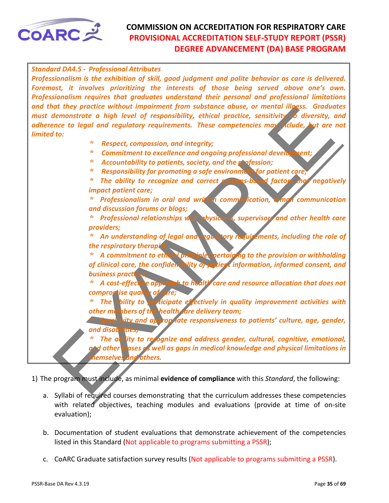<span id="page-34-0"></span>

they protect without impartment from substance observe and altitudes are the anti-<br>the monstrate a high level of responsibility, ethical practice, sensitivity to diversity, the<br>since to legal and regulatory requirements. T *Standard DA4.5 - Professional Attributes Professionalism is the exhibition of skill, good judgment and polite behavior as care is delivered. Foremost, it involves prioritizing the interests of those being served above one's own. Professionalism requires that graduates understand their personal and professional limitations and that they practice without impairment from substance abuse, or mental illness. Graduates must demonstrate a high level of responsibility, ethical practice, sensitivity to diversity, and adherence to legal and regulatory requirements. These competencies may include, but are not limited to: \* Respect, compassion, and integrity; \* Commitment to excellence and ongoing professional development; \* Accountability to patients, society, and the profession; \* Responsibility for promoting a safe environment for patient care; \* The ability to recognize and correct systems-based factors that negatively impact patient care; \* Professionalism in oral and written communication, e-mail communication and discussion forums or blogs; \* Professional relationships with physicians, supervisors and other health care providers; \* An understanding of legal and regulatory requirements, including the role of*  **the respiratory therapis**  *\* A commitment to ethical principles pertaining to the provision or withholding of clinical care, the confidentiality of patient information, informed consent, and business practices; \* A cost-effective approach to health care and resource allocation that does not compromise quality of care; \* The ability to participate effectively in quality improvement activities with other members of the health care delivery team; <u>kity</u> and appropriate responsiveness to patients' culture, age, gender, and disabilities; \* The ability to recognize and address gender, cultural, cognitive, emotional, and other biases as well as gaps in medical knowledge and physical limitations in themselves and others.*

- a. Syllabi of required courses demonstrating that the curriculum addresses these competencies with related objectives, teaching modules and evaluations (provide at time of on-site evaluation);
- b. Documentation of student evaluations that demonstrate achievement of the competencies listed in this Standard (Not applicable to programs submitting a PSSR);
- c. CoARC Graduate satisfaction survey results (Not applicable to programs submitting a PSSR).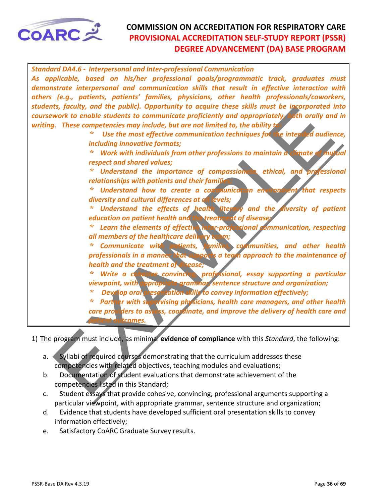

| <b>Standard DA4.6 - Interpersonal and Inter-professional Communication</b>                                                   |
|------------------------------------------------------------------------------------------------------------------------------|
| As applicable, based on his/her professional goals/programmatic track, graduates must                                        |
| demonstrate interpersonal and communication skills that result in effective interaction with                                 |
| others (e.g., patients, patients' families, physicians, other health professionals/coworkers,                                |
| students, faculty, and the public). Opportunity to acquire these skills must be incorporated into                            |
| coursework to enable students to communicate proficiently and appropriately both orally and in                               |
| writing. These competencies may include, but are not limited to, the ability to                                              |
| Use the most effective communication techniques for the intended audience,                                                   |
| including innovative formats;                                                                                                |
| Work with individuals from other professions to maintain a climate of mutual<br>∗                                            |
| respect and shared values;                                                                                                   |
| Understand the importance of compassionate, ethical, and professional<br>×                                                   |
| relationships with patients and their families,                                                                              |
| Understand how to create a communication environment that respects<br>*,                                                     |
| diversity and cultural differences at all levels;                                                                            |
| Understand the effects of health literacy and the diversity of patient<br>÷,                                                 |
| education on patient health and the treatment of diseaser                                                                    |
| Learn the elements of effective inter-professional communication, respecting                                                 |
| all members of the healthcare delivery team;                                                                                 |
| Communicate with patients, families, communities, and other health<br>∗                                                      |
| professionals in a manner that supports a team approach to the maintenance of                                                |
| health and the treatment of disease;                                                                                         |
| Write a cohesive convincing, professional, essay supporting a particular<br>$\ast$                                           |
| viewpoint, with appropriate grammar sentence structure and organization;                                                     |
| Develop oral presentation skills to convey information effectively;<br>∗                                                     |
| Partner with supervising physicians, health care managers, and other health<br>*,                                            |
| care providers to assess, coordinate, and improve the delivery of health care and                                            |
| patient outcomes.                                                                                                            |
|                                                                                                                              |
| 1) The program must include, as minimal evidence of compliance with this Standard, the following:                            |
|                                                                                                                              |
| Syllabi of required courses demonstrating that the curriculum addresses these<br>a.                                          |
| competencies with related objectives, teaching modules and evaluations;                                                      |
| Documentation of student evaluations that demonstrate achievement of the<br>b.                                               |
| competencies listed in this Standard;<br>Student accave that provide cohecive convincing professional arguments supporting a |
|                                                                                                                              |

- a. Syllabi of required courses demonstrating that the curriculum addresses these competencies with related objectives, teaching modules and evaluations;
- b. Documentation of student evaluations that demonstrate achievement of the competencies listed in this Standard;
- c. Student essays that provide cohesive, convincing, professional arguments supporting a particular viewpoint, with appropriate grammar, sentence structure and organization;
- d. Evidence that students have developed sufficient oral presentation skills to convey information effectively;
- e. Satisfactory CoARC Graduate Survey results.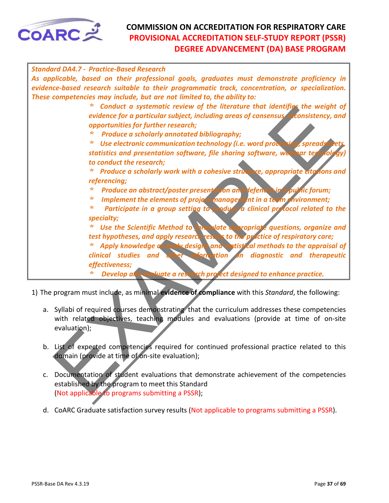<span id="page-36-0"></span>

|              | <b>Standard DA4.7 - Practice-Based Research</b>                                                                                                                                                |
|--------------|------------------------------------------------------------------------------------------------------------------------------------------------------------------------------------------------|
|              | As applicable, based on their professional goals, graduates must demonstrate proficiency in<br>evidence-based research suitable to their programmatic track, concentration, or specialization. |
|              | These competencies may include, but are not limited to, the ability to:                                                                                                                        |
|              | Conduct a systematic review of the literature that identifies the weight of<br>*,                                                                                                              |
|              | evidence for a particular subject, including areas of consensus, inconsistency, and                                                                                                            |
|              | opportunities for further research;                                                                                                                                                            |
|              | ÷<br>Produce a scholarly annotated bibliography;                                                                                                                                               |
|              | Use electronic communication technology (i.e. word processing, spreadshed<br>∗                                                                                                                 |
|              | statistics and presentation software, file sharing software, webluar technology)                                                                                                               |
|              | to conduct the research;                                                                                                                                                                       |
|              | Produce a scholarly work with a cohesive structure, appropriate citations and<br>∗                                                                                                             |
|              | referencing;                                                                                                                                                                                   |
|              | Produce an abstract/poster presentation and defend it in a public forum;<br>∗                                                                                                                  |
|              | Implement the elements of project managernent in a team environment;<br>∗                                                                                                                      |
|              | $\ast$<br>Participate in a group setting to produce a clinical protocol related to the                                                                                                         |
|              | specialty;                                                                                                                                                                                     |
|              | Use the Scientific Method to formulate appropriate questions, organize and<br>∗                                                                                                                |
|              | test hypotheses, and apply research results to the practice of respiratory care;                                                                                                               |
|              | Apply knowledge of study designs and statistical methods to the appraisal of                                                                                                                   |
|              | clinical studies and other information on diagnostic and therapeutic                                                                                                                           |
|              | effectiveness;                                                                                                                                                                                 |
|              | Develop and evaluate a research project designed to enhance practice.<br>∗                                                                                                                     |
|              | 1) The program must include, as minimal evidence of compliance with this Standard, the following:                                                                                              |
|              |                                                                                                                                                                                                |
|              | a. Syllabi of required courses demonstrating that the curriculum addresses these competencies                                                                                                  |
|              | with related objectives, teaching modules and evaluations (provide at time of on-site                                                                                                          |
| evaluation); |                                                                                                                                                                                                |
|              |                                                                                                                                                                                                |
|              | b. List of expected competencies required for continued professional practice related to this                                                                                                  |
|              | domain (provide at time of on-site evaluation);                                                                                                                                                |
|              |                                                                                                                                                                                                |
| c.           | Documentation of student evaluations that demonstrate achievement of the competencies                                                                                                          |
|              | established by the program to meet this Standard                                                                                                                                               |
|              | (Not annicable to programs submitting a PSSR).                                                                                                                                                 |

- 1) The program must include, as minimal **evidence of compliance** with this *Standard*, the following:
	- a. Syllabi of required courses demonstrating that the curriculum addresses these competencies with related objectives, teaching modules and evaluations (provide at time of on-site evaluation);
	- b. List of expected competencies required for continued professional practice related to this domain (provide at time of on-site evaluation);
	- c. Documentation of student evaluations that demonstrate achievement of the competencies established by the program to meet this Standard (Not applicable to programs submitting a PSSR);
	- d. CoARC Graduate satisfaction survey results (Not applicable to programs submitting a PSSR).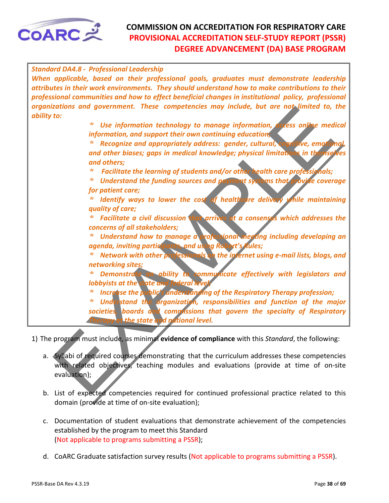<span id="page-37-0"></span>

| <b>Standard DA4.8 - Professional Leadership</b>                                                                                                         |
|---------------------------------------------------------------------------------------------------------------------------------------------------------|
| When applicable, based on their professional goals, graduates must demonstrate leadership                                                               |
| attributes in their work environments. They should understand how to make contributions to their                                                        |
| professional communities and how to effect beneficial changes in institutional policy, professional                                                     |
| organizations and government. These competencies may include, but are not limited to, the                                                               |
| ability to:                                                                                                                                             |
| ∗<br>Use information technology to manage information, access online medical                                                                            |
| information, and support their own continuing education,                                                                                                |
| Recognize and appropriately address: gender, cultural, cognitive, emotional,                                                                            |
| and other biases; gaps in medical knowledge; physical limitations in themselves                                                                         |
| and others;<br>∗                                                                                                                                        |
| Facilitate the learning of students and/or other health care professionals;<br>Understand the funding sources and payment systems that provide coverage |
| for patient care;                                                                                                                                       |
| Identify ways to lower the cost of healthcare delivery while maintaining                                                                                |
| quality of care;                                                                                                                                        |
| Facilitate a civil discussion that arrives at a consenses which addresses the                                                                           |
| concerns of all stakeholders;                                                                                                                           |
| Understand how to manage a professional meeting including developing an<br>*,                                                                           |
| agenda, inviting participants, and using Robert's Rules;                                                                                                |
| Network with other professionals on the internet using e-mail lists, blogs, and                                                                         |
| networking sites;                                                                                                                                       |
| Demonstrate an ability to communicate effectively with legislators and<br>∗                                                                             |
| lobbyists at the state and federal level,                                                                                                               |
| Increase the public's understanding of the Respiratory Therapy profession;<br>*.                                                                        |
| Understand the prganization, responsibilities and function of the major<br>∗                                                                            |
| societies, boards and comprissions that govern the specialty of Respiratory                                                                             |
| Therapy at the state and national level.                                                                                                                |
| 1) The program must include, as minimal evidence of compliance with this Standard, the following:                                                       |
|                                                                                                                                                         |
| a. Syllabi of required courses demonstrating that the curriculum addresses these competencies                                                           |
| with related objectives, teaching modules and evaluations (provide at time of on-site                                                                   |
| evaluation);                                                                                                                                            |
|                                                                                                                                                         |
| b. List of expected competencies required for continued professional practice related to this                                                           |

- a. Syllabi of required courses demonstrating that the curriculum addresses these competencies with related objectives, teaching modules and evaluations (provide at time of on-site evaluation);
- b. List of expected competencies required for continued professional practice related to this domain (provide at time of on-site evaluation);
- c. Documentation of student evaluations that demonstrate achievement of the competencies established by the program to meet this Standard (Not applicable to programs submitting a PSSR);
- d. CoARC Graduate satisfaction survey results (Not applicable to programs submitting a PSSR).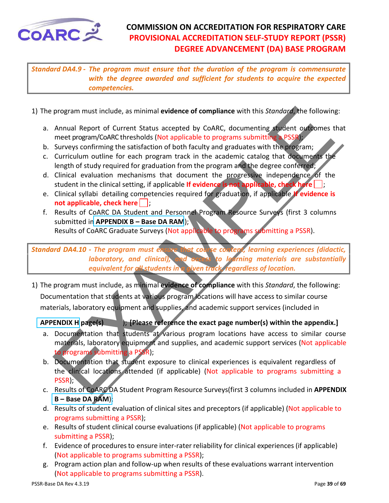<span id="page-38-0"></span>

*Standard DA4.9 - The program must ensure that the duration of the program is commensurate with the degree awarded and sufficient for students to acquire the expected competencies.* 

- 1) The program must include, as minimal **evidence of compliance** with this *Standard*, the following:
	- a. Annual Report of Current Status accepted by CoARC, documenting student outcomes that meet program/CoARC thresholds (Not applicable to programs submitting a PSSR);
	- b. Surveys confirming the satisfaction of both faculty and graduates with the program;
	- c. Curriculum outline for each program track in the academic catalog that documents the length of study required for graduation from the program and the degree conferred;
	- d. Clinical evaluation mechanisms that document the progressive independence of the student in the clinical setting, if applicable If evidence is not applicable, check here
	- e. Clinical syllabi detailing competencies required for graduation, if applicable **If evidence is not applicable, check here**  $\vert \cdot \vert$
	- f. Results of CoARC DA Student and Personnel Program Resource Surveys (first 3 columns submitted in **APPENDIX B – Base DA RAM**);

Results of CoARC Graduate Surveys (Not applicable to programs submitting a PSSR).

*Standard DA4.10 - The program must ensure that course content, learning experiences (didactic, laboratory, and clinical), and access to learning materials are substantially equivalent for all students in a given track, regardless of location.*

program must include, as minimal evidence of compliance with this *Standard*, the following<br>Annual Report of Current Status accepted by CoARC, documenting student ordcomes meet program/CoARC thresholds (Not applicable to p 1) The program must include, as minimal **evidence of compliance** with this *Standard*, the following: Documentation that students at various program locations will have access to similar course materials, laboratory equipment and supplies, and academic support services (included in

**APPENDIX H page(s)** ); **[Please reference the exact page number(s) within the appendix.]**

- a. Documentation that students at various program locations have access to similar course materials, laboratory equipment and supplies, and academic support services (Not applicable to programs submitting a PSSR);
- b. Documentation that student exposure to clinical experiences is equivalent regardless of the clinical locations attended (if applicable) (Not applicable to programs submitting a PSSR);
- c. Results of CoARC DA Student Program Resource Surveys(first 3 columns included in **APPENDIX B – Base DA RAM**);
- d. Results of student evaluation of clinical sites and preceptors (if applicable) (Not applicable to programs submitting a PSSR);
- e. Results of student clinical course evaluations (if applicable) (Not applicable to programs submitting a PSSR);
- f. Evidence of procedures to ensure inter-rater reliability for clinical experiences (if applicable) (Not applicable to programs submitting a PSSR);
- g. Program action plan and follow-up when results of these evaluations warrant intervention (Not applicable to programs submitting a PSSR).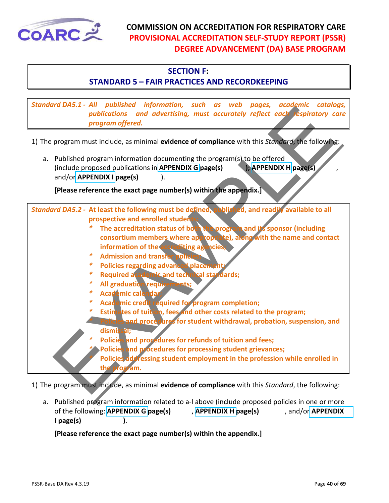<span id="page-39-0"></span>

#### **SECTION F:**

#### **STANDARD 5 – FAIR PRACTICES AND RECORDKEEPING**

*Standard DA5.1 - All published information, such as web pages, academic catalogs, publications and advertising, must accurately reflect each respiratory care program offered.* 

| 3tunuuru DAJ.I - Air publisiicu Tirjorniution, such us web puyes, ucuuginic cutuloys,<br>publications and advertising, must accurately reflect each respiratory care<br>program offered.                                                                                                                                                                                                                                                                                                                                                                                                                                                                                                                                                                                                                                                                                                                                                                                                                       |
|----------------------------------------------------------------------------------------------------------------------------------------------------------------------------------------------------------------------------------------------------------------------------------------------------------------------------------------------------------------------------------------------------------------------------------------------------------------------------------------------------------------------------------------------------------------------------------------------------------------------------------------------------------------------------------------------------------------------------------------------------------------------------------------------------------------------------------------------------------------------------------------------------------------------------------------------------------------------------------------------------------------|
| 1) The program must include, as minimal evidence of compliance with this Standard, the following:                                                                                                                                                                                                                                                                                                                                                                                                                                                                                                                                                                                                                                                                                                                                                                                                                                                                                                              |
| a. Published program information documenting the program(s) to be offered<br>); APPENDIX H page(s)<br>(include proposed publications in APPENDIX G page(s)<br>and/or APPENDIX I page(s)                                                                                                                                                                                                                                                                                                                                                                                                                                                                                                                                                                                                                                                                                                                                                                                                                        |
| [Please reference the exact page number(s) within the appendix.]                                                                                                                                                                                                                                                                                                                                                                                                                                                                                                                                                                                                                                                                                                                                                                                                                                                                                                                                               |
| Standard DA5.2 - At least the following must be defined, published, and readily available to all<br>prospective and enrolled students:<br>The accreditation status of both the program and its sponsor (including<br>∗<br>consortium members where appropriate), along with the name and contact<br>information of the accrediting agencies;<br><b>Admission and transfer policie</b><br>∗<br>∗<br>Policies regarding advanced placement;<br>Required academic and technical standards;<br>∗<br>∗<br>All graduation requirements;<br>∗<br>Académic calendar<br>Academic credit required for program completion;<br>*<br>Estimates of tuition, fees and other costs related to the program;<br>Policies and procedures for student withdrawal, probation, suspension, and<br>dismissal;<br>Policies and procedures for refunds of tuition and fees;<br>Policies and procedures for processing student grievances;<br>Policies addressing student employment in the profession while enrolled in<br>the program. |
| 1) The program must include, as minimal evidence of compliance with this Standard, the following:                                                                                                                                                                                                                                                                                                                                                                                                                                                                                                                                                                                                                                                                                                                                                                                                                                                                                                              |

a. Published program information related to a-l above (include proposed policies in one or more of the following: **APPENDIX G page(s)** , **APPENDIX H page(s)** , and/or **APPENDIX I page(s) )**.

**[Please reference the exact page number(s) within the appendix.]**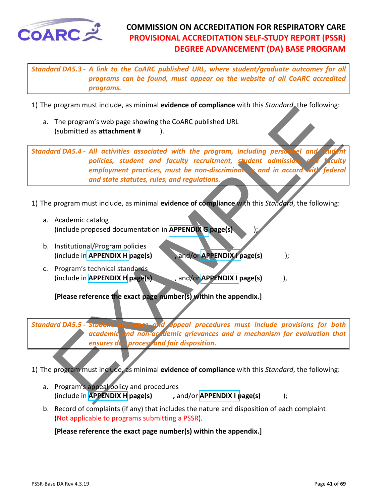<span id="page-40-0"></span>

*Standard DA5.3 - A link to the CoARC published URL, where student/graduate outcomes for all programs can be found, must appear on the website of all CoARC accredited programs.*

1) The program must include, as minimal **evidence of compliance** with this *Standard*, the following:

a. The program's web page showing the CoARC published URL (submitted as **attachment #** ).

program surface the exact page is the control of the standard the following<br>
The program side between the control of the program, including person of and<br>
following the statement water and faculty recruitment, student admi *Standard DA5.4 - All activities associated with the program, including personnel and student* policies, student and faculty recruitment, student admission, *employment practices, must be non-discriminatory and in accord and state statutes, rules, and regulations.* 

- 1) The program must include, as minimal **evidence of compliance** with this *Standard*, the following:
	- a. Academic catalog (include proposed documentation in **APPENDIX G page(s)** );
	- b. Institutional/Program policies (include in **APPENDIX H** page(s) , and/or **APPENDIX I** page(s) );
	- c. Program's technical standards (include in **APPENDIX H page(s)** , and/or **APPENDIX I page(s)** ),

**[Please reference the exact page number(s) within the appendix.]**

*Standard DA5.5 - Student grievance and appeal procedures must include provisions for both academic and non-academic grievances and a mechanism for evaluation that ensures due process and fair disposition.* 

1) The program must include, as minimal **evidence of compliance** with this *Standard*, the following:

- a. Program's appeal policy and procedures (include in **APPENDIX H** page(s) , and/or **APPENDIX I page(s)** );
- b. Record of complaints (if any) that includes the nature and disposition of each complaint (Not applicable to programs submitting a PSSR).

**[Please reference the exact page number(s) within the appendix.]**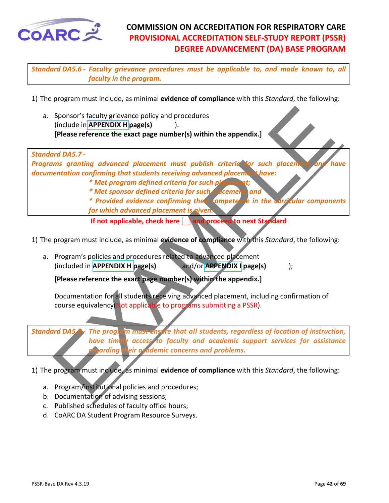<span id="page-41-0"></span>

*Standard DA5.6 - Faculty grievance procedures must be applicable to, and made known to, all faculty in the program.*

1) The program must include, as minimal **evidence of compliance** with this *Standard*, the following:

a. Sponsor's faculty grievance policy and procedures (include in **APPENDIX H page(s)** ). **[Please reference the exact page number(s) within the appendix.]**



- *\* Met sponsor defined criteria for such placement; and*
- *\* Provided evidence confirming their competence in the curricular components*
- *for which advanced placement is given.*
- **If not applicable, check here and proceed to next Standard**
- 1) The program must include, as minimal **evidence of compliance** with this *Standard*, the following:
	- a. Program's policies and procedures related to advanced placement (included in **APPENDIX H page(s)** and/or **APPENDIX I page(s)** );

**[Please reference the exact page number(s) within the appendix.]**

Documentation for all students receiving advanced placement, including confirmation of course equivalency (Not applicable to programs submitting a PSSR).

*Standard DA5.8 - The program must ensure that all students, regardless of location of instruction, have timely access to faculty and academic support services for assistance regarding their academic concerns and problems.*

- a. Program/institutional policies and procedures;
- b. Documentation of advising sessions;
- c. Published schedules of faculty office hours;
- d. CoARC DA Student Program Resource Surveys.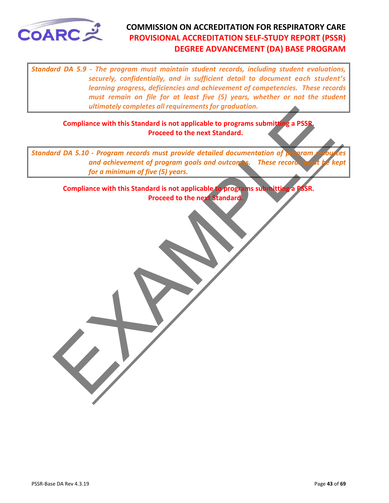<span id="page-42-0"></span>

*Standard DA 5.9 - The program must maintain student records, including student evaluations, securely, confidentially, and in sufficient detail to document each student's learning progress, deficiencies and achievement of competencies. These records must remain on file for at least five (5) years, whether or not the student ultimately completes all requirements for graduation.* 

**Compliance with this Standard is not applicable to programs submitting a PSSR. Proceed to the next Standard.**

ultimately completes all requirements for graduation.<br>
Compliance with this Standard is not applicable to program submitting a PSSR.<br>
For a minimum of fluxe (5) years.<br>
Compliance with this Standard is not applicable to pr *Standard DA 5.10 - Program records must provide detailed documentation of program* and achievement of program goals and outcomes. These records *for a minimum of five (5) years.*

**Compliance with this Standard is not applicable to programs submitting a PSSR. Proceed to the next Standard.**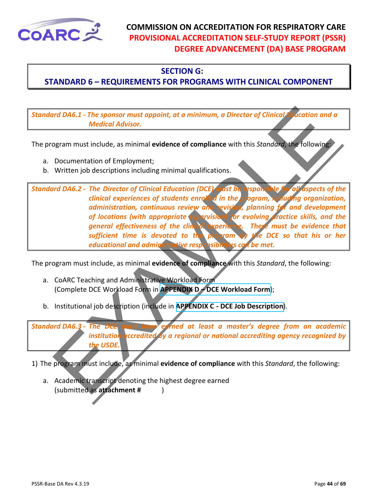<span id="page-43-0"></span>

#### **SECTION G:**

#### **STANDARD 6 – REQUIREMENTS FOR PROGRAMS WITH CLINICAL COMPONENT**

*Standard DA6.1 - The sponsor must appoint, at a minimum, a Director of Clinical Education and a Medical Advisor.*

The program must include, as minimal **evidence of compliance** with this *Standard*, the following:

- a. Documentation of Employment;
- b. Written job descriptions including minimal qualifications.

Institutional internal evidence of compliance with this Standard, the following<br>
Institution and the bottom and the space of American Association of Employment;<br>
Written job descriptions including minimal qualifications.<br> *Standard DA6.2 - The Director of Clinical Education (DCE) must be responsible for all aspects of the clinical experiences of students enrolled in the program, including organization, administration, continuous review and revision, planning for and development of locations (with appropriate supervision) for evolving practice skills, and the general effectiveness of the clinical experience. There must be evidence that sufficient time is devoted to the program by the DCE so that his or her educational and administrative responsibilities can be met.* 

The program must include, as minimal **evidence of compliance** with this *Standard*, the following:

- a. CoARC Teaching and Administrative Workload Form (Complete DCE Workload Form in **APPENDIX D – DCE Workload Form**);
- b. Institutional job description (include in **APPENDIX C DCE Job Description**).

*Standard DA6.3 - The DCE must have earned at least a master's degree from an academic institution accredited by a regional or national accrediting agency recognized by the USDE.*

1) The program must include, as minimal **evidence of compliance** with this *Standard*, the following:

a. Academic transcript denoting the highest degree earned (submitted as **attachment #** )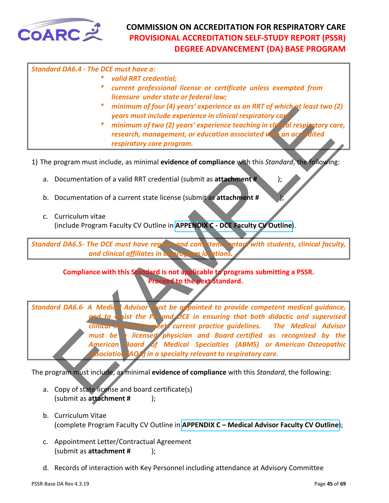<span id="page-44-0"></span>

| <b>Standard DA6.4 - The DCE must have a:</b> |                                                                                                                                                                                |
|----------------------------------------------|--------------------------------------------------------------------------------------------------------------------------------------------------------------------------------|
| ∗                                            | valid RRT credential;                                                                                                                                                          |
| ∗                                            | current professional license or certificate unless exempted from<br>licensure under state or federal law;                                                                      |
|                                              | * minimum of four (4) years' experience as an RRT of which at least two (2)<br>years must include experience in clinical respiratory care;                                     |
|                                              | * minimum of two (2) years' experience teaching in clinical respiratory care,<br>research, management, or education associated with an accredited<br>respiratory care program. |
|                                              |                                                                                                                                                                                |

1) The program must include, as minimal **evidence of compliance** with this *Standard*, the following:

- a. Documentation of a valid RRT credential (submit as **attachment #** );
- b. Documentation of a current state license (submit as **attachment #** );
- c. Curriculum vitae (include Program Faculty CV Outline in **APPENDIX C - DCE Faculty CV Outline**).

*Standard DA6.5- The DCE must have regular and consistent contact with students, clinical faculty, and clinical affiliates in all program locations.* 

**Compliance with this Standard is not applicable to programs submitting a PSSR. Proceed to the next Standard.**

Frammann of four (a) years' experience os an KH of which and the special special special special special special special special special special special special special special special special special special special speci *Standard DA6.6- A Medical Advisor must be appointed to provide competent medical guidance, and to assist the PD and DCE in ensuring that both didactic and supervised clinical instruction meets current practice guidelines. The Medical Advisor must be a licensed physician and Board certified as recognized by the American Board of Medical Specialties (ABMS) or American Osteopathic Association (AOA) in a specialty relevant to respiratory care.* 

- a. Copy of state license and board certificate(s) (submit as **attachment #** );
- b. Curriculum Vitae (complete Program Faculty CV Outline in **[APPENDIX C – Medical Advisor Faculty CV Outline](#page-55-0)**);
- c. Appointment Letter/Contractual Agreement (submit as **attachment #** );
- d. Records of interaction with Key Personnel including attendance at Advisory Committee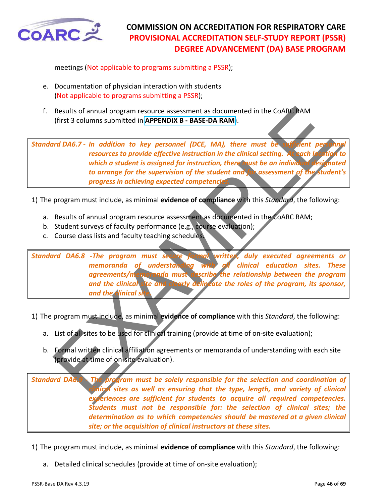<span id="page-45-0"></span>

meetings (Not applicable to programs submitting a PSSR);

- e. Documentation of physician interaction with students (Not applicable to programs submitting a PSSR);
- f. Results of annual program resource assessment as documented in the CoARC RAM (first 3 columns submitted in **APPENDIX B - BASE-DA RAM**).

*Standard DA6.7 - In addition to key personnel (DCE, MA), there must be resources to provide effective instruction in the clinical setting. At each la which a student is assigned for instruction, there must be an indivit* to arrange for the supervision of the student and for assessment of the *progress in achieving expected competencies.*

1) The program must include, as minimal **evidence of compliance** with this *Standard*, the following:

- a. Results of annual program resource assessment as documented in the CoARC RAM;
- b. Student surveys of faculty performance (e.g., course evaluation);
- c. Course class lists and faculty teaching schedules.

Results of annual program resource assessment as documented in the COARC hAM<br>
(first 3 columns submitted in APPENDIX B - BASE-DA RAM).<br>
Into DA6.7 - In addition to key personnel (DCE, MA), there must be a performed in the *Standard DA6.8 -The program must secure formal written, duly executed agreements or memoranda of understanding with all clinical education sites. These agreements/memoranda must describe the relationship between the program and the clinical site and clearly delineate the roles of the program, its sponsor,*  **and the clinical site.** 

1) The program must include, as minimal **evidence of compliance** with this *Standard*, the following:

- a. List of all sites to be used for clinical training (provide at time of on-site evaluation);
- b. Formal written clinical affiliation agreements or memoranda of understanding with each site (provide at time of on-site evaluation).

*Standard DA6.9 - The program must be solely responsible for the selection and coordination of clinical sites as well as ensuring that the type, length, and variety of clinical experiences are sufficient for students to acquire all required competencies. Students must not be responsible for: the selection of clinical sites; the determination as to which competencies should be mastered at a given clinical site; or the acquisition of clinical instructors at these sites.* 

- 1) The program must include, as minimal **evidence of compliance** with this *Standard*, the following:
	- a. Detailed clinical schedules (provide at time of on-site evaluation);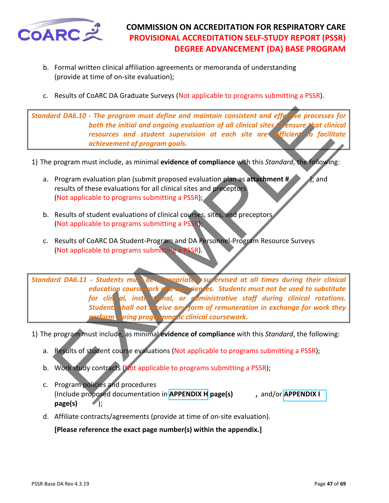<span id="page-46-0"></span>

- b. Formal written clinical affiliation agreements or memoranda of understanding (provide at time of on-site evaluation);
- c. Results of CoARC DA Graduate Surveys (Not applicable to programs submitting a PSSR).

*Standard DA6.10 - The program must define and maintain consistent and effective processes for both the initial and ongoing evaluation of all clinical sites to ensure that clinical resources and student supervision at each site are sufficient to facilitate achievement of program goals.* 

1) The program must include, as minimal **evidence of compliance** with this *Standard*, the following:

- a. Program evaluation plan (submit proposed evaluation plan as **attachment #** ); and results of these evaluations for all clinical sites and preceptors (Not applicable to programs submitting a PSSR);
- b. Results of student evaluations of clinical courses, sites, and preceptors (Not applicable to programs submitting a PSSR);
- c. Results of CoARC DA Student-Program and DA Personnel-Program Resource Surveys (Not applicable to programs submitting a PSSR).

International The program must define and maintain consistent and effortive processes<br>
both the initial and ongoing evaluation of all clinical sites are signare that<br>
resources and student supervision of each site are stud *Standard DA6.11 - Students must be appropriately supervised at all times during their clinical education coursework and experiences. Students must not be used to substitute for clinical, instructional, or administrative staff during clinical rotations.*  **Students shall not receive any form of remuneration in exchange for work they** *perform during programmatic clinical coursework.*

1) The program must include, as minimal **evidence of compliance** with this *Standard*, the following:

- a. Results of student course evaluations (Not applicable to programs submitting a PSSR);
- b. Work study contracts (Not applicable to programs submitting a PSSR);
- c. Program policies and procedures (Include proposed documentation in **APPENDIX H page(s) ,** and/or **APPENDIX I page(s)** );
- d. Affiliate contracts/agreements (provide at time of on-site evaluation).

**[Please reference the exact page number(s) within the appendix.]**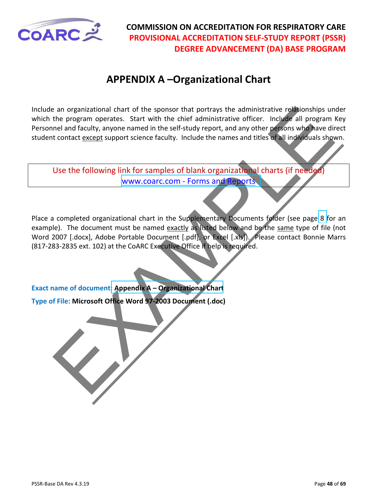<span id="page-47-0"></span>

# **APPENDIX A –Organizational Chart**

Include an organizational chart of the sponsor that portrays the administrative relationships under which the program operates. Start with the chief administrative officer. Include all program Key Personnel and faculty, anyone named in the self-study report, and any other persons who have direct student contact except support science faculty. Include the names and titles of all individuals shown.

Use the following link for samples of blank organizational charts (if needed) www.coarc.com - Forms and Reports

an organizational chart of the sponsor that portrays the administrative relationships unto an organizational chart with the chief administrative office. Include all program<br>the land faculty, anyone named in the self-study Place a completed organizational chart in the Supplementary Documents folder (see page 8 for an example). The document must be named exactly as listed below and be the same type of file (not Word 2007 [.docx], Adobe Portable Document [.pdf], or Excel [.xls]). Please contact Bonnie Marrs (817-283-2835 ext. 102) at the CoARC Executive Office if help is required.

**Exact name of document: Appendix A – Organizational Chart**

**Type of File: Microsoft Office Word 97-2003 Document (.doc)**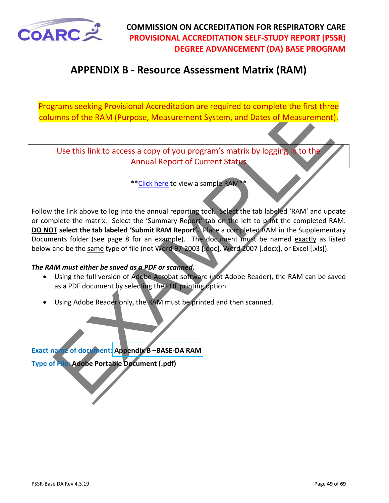<span id="page-48-0"></span>

# **APPENDIX B - Resource Assessment Matrix (RAM)**

Programs seeking Provisional Accreditation are required to complete the first three columns of the RAM (Purpose, Measurement System, and Dates of Measurement).

Use this link to access a copy of you program's matrix by logging in to the Annual Report of Current Status

\*\*Click here to view a sample RAM\*\*

Frames seeking Provisional Accreditation are required to complete the trist three terms of the RAM (Purpose, Measurement System, and Dates of Measurement)<br>
Use this link to access a copy of you program's matrix by logging Follow the link above to log into the annual reporting tool. Select the tab labeled 'RAM' and update or complete the matrix. Select the 'Summary Report' tab on the left to print the completed RAM. **DO NOT select the tab labeled 'Submit RAM Report'.** Place a completed RAM in the Supplementary Documents folder (see page 8 for an example). The document must be named exactly as listed below and be the same type of file (not Word 97-2003 [.doc], Word 2007 [.docx], or Excel [.xls]).

#### *The RAM must either be saved as a PDF or scanned.*

- Using the full version of Adobe Acrobat software (not Adobe Reader), the RAM can be saved as a PDF document by selecting the PDF printing option.
- Using Adobe Reader only, the RAM must be printed and then scanned.

**Exact name of document: Appendix B –BASE-DA RAM Type of File: Adobe Portable Document (.pdf)**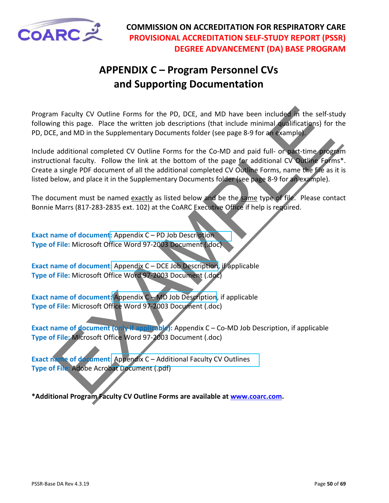<span id="page-49-0"></span>

# **APPENDIX C – Program Personnel CVs and Supporting Documentation**

Program Faculty CV Outline Forms for the PD, DCE, and MD have been included in the self-study following this page. Place the written job descriptions (that include minimal qualifications) for the PD, DCE, and MD in the Supplementary Documents folder (see page 8-9 for an example).

m Faculty CV Outline Forms for the PD, DCE, and MD have been included in the self-strate and R in Sage. Place the written job descriptions (that included minimal coslimes in the supplementary Documents folder (see age 8-9 Include additional completed CV Outline Forms for the Co-MD and paid full- or part-time program instructional faculty. Follow the link at the bottom of the page for additional CV Outline Forms\*. Create a single PDF document of all the additional completed CV Outline Forms, name the file as it is listed below, and place it in the Supplementary Documents folder (see page 8-9 for an example).

The document must be named exactly as listed below and be the same type of file. Please contact Bonnie Marrs (817-283-2835 ext. 102) at the CoARC Executive Office if help is required.

**Exact name of document:** Appendix C – PD Job Description **Type of File:** Microsoft Office Word 97-2003 Document (.doc)

**Exact name of document:** Appendix C – DCE Job Description, if applicable **Type of File:** Microsoft Office Word 97-2003 Document (.doc)

**Exact name of document:** Appendix C – MD Job Description, if applicable **Type of File:** Microsoft Office Word 97-2003 Document (.doc)

**Exact name of document (only if applicable):** Appendix C – Co-MD Job Description, if applicable **Type of File:** Microsoft Office Word 97-2003 Document (.doc)

**Exact name of document:** Appendix C – Additional Faculty CV Outlines **Type of File:** Adobe Acrobat Document (.pdf)

**\*Additional Program Faculty CV Outline Forms are available at [www.coarc.com.](https://www.coarc.com/)**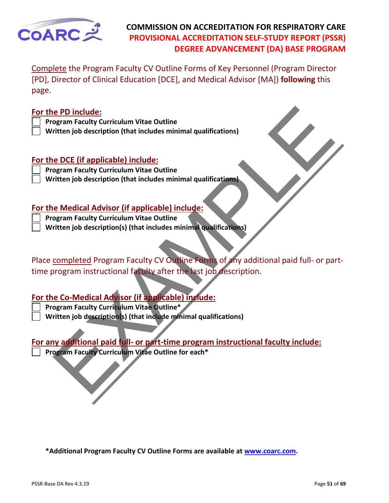

Complete the Program Faculty CV Outline Forms of Key Personnel (Program Director [PD], Director of Clinical Education [DCE], and Medical Advisor [MA]) **following** this page.

#### **For the PD include:**

- **Program Faculty Curriculum Vitae Outline**
- **Written job description (that includes minimal qualifications)**

#### **For the DCE (if applicable) include:**

- **Program Faculty Curriculum Vitae Outline**
- **Written job description (that includes minimal qualifications)**

#### **For the Medical Advisor (if applicable) include:**

- **Program Faculty Curriculum Vitae Outline**
- **Written job description(s) (that includes minimal qualifications)**

e PD include:<br>
ogram Faculty Curriculum Vitae Outline<br>
ritten job description (that includes minimal qualifications)<br>
<u>e DCE (if applicable) include:</u><br>
ogram Faculty Curriculum Vitae Outline<br>
eMedical Advisor (if applicabl Place completed Program Faculty CV Outline Forms of any additional paid full- or parttime program instructional faculty after the last job description.

#### **For the Co-Medical Advisor (if applicable) include:**

- **Program Faculty Curriculum Vitae Outline\***
	- **Written job description(s) (that include minimal qualifications)**

#### **For any additional paid full- or part-time program instructional faculty include:**

**Program Faculty Curriculum Vitae Outline for each\*** 

**\*Additional Program Faculty CV Outline Forms are available at [www.coarc.com.](http://www.coarc.com/)**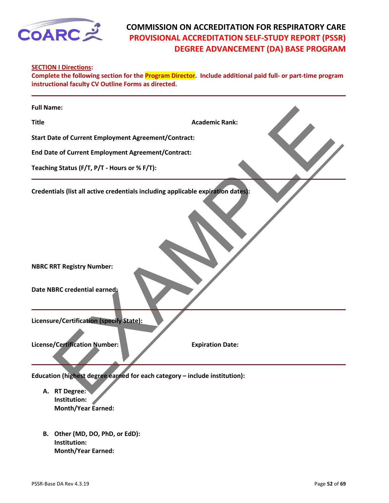<span id="page-51-0"></span>

#### **SECTION I Directions:**

**Complete the following section for the Program Director. Include additional paid full- or part-time program instructional faculty CV Outline Forms as directed.**

| <b>Full Name:</b>                                                                                                                                    |                         |
|------------------------------------------------------------------------------------------------------------------------------------------------------|-------------------------|
| <b>Title</b>                                                                                                                                         | <b>Academic Rank:</b>   |
| <b>Start Date of Current Employment Agreement/Contract:</b>                                                                                          |                         |
| End Date of Current Employment Agreement/Contract:                                                                                                   |                         |
| Teaching Status (F/T, P/T - Hours or % F/T):                                                                                                         |                         |
| Credentials (list all active credentials including applicable expiration dates):<br><b>NBRC RRT Registry Number:</b><br>Date NBRC credential earned: |                         |
| Licensure/Certification (specify State):                                                                                                             |                         |
| <b>License/Certification Number:</b>                                                                                                                 | <b>Expiration Date:</b> |
| Education (highest degree earned for each category - include institution):<br>A. RT Degree:                                                          |                         |

- **A. RT Degree: Institution: Month/Year Earned:**
- **B. Other (MD, DO, PhD, or EdD): Institution: Month/Year Earned:**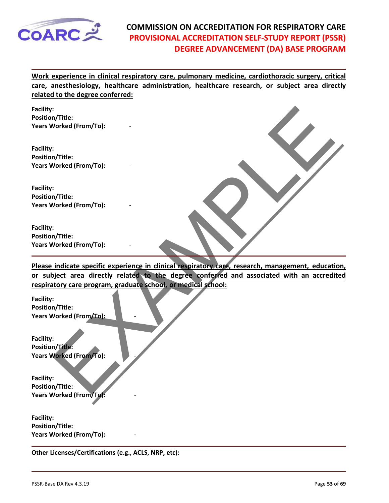

**Work experience in clinical respiratory care, pulmonary medicine, cardiothoracic surgery, critical care, anesthesiology, healthcare administration, healthcare research, or subject area directly related to the degree conferred:** 



**Please indicate specific experience in clinical respiratory care, research, management, education, or subject area directly related to the degree conferred and associated with an accredited respiratory care program, graduate school, or medical school:** 

**Facility: Position/Title: Years Worked (From/To):** -

**Facility: Position/Title: Years Worked (From/To):** -

**Facility: Position/Title: Years Worked (From/To):** -

**Facility: Position/Title: Years Worked (From/To):** -

**Other Licenses/Certifications (e.g., ACLS, NRP, etc):**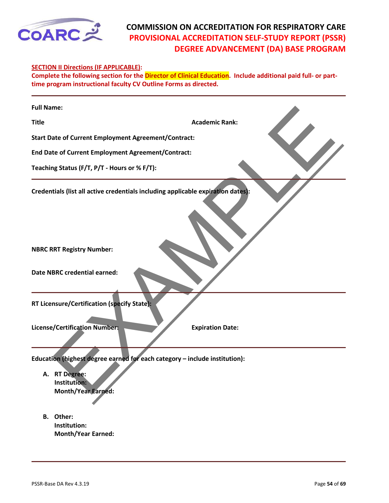<span id="page-53-0"></span>

#### **SECTION II Directions (IF APPLICABLE):**

**Complete the following section for the Director of Clinical Education. Include additional paid full- or parttime program instructional faculty CV Outline Forms as directed.**

| <b>Full Name:</b>                                                                                                                                              |                         |
|----------------------------------------------------------------------------------------------------------------------------------------------------------------|-------------------------|
| <b>Title</b>                                                                                                                                                   | <b>Academic Rank:</b>   |
| <b>Start Date of Current Employment Agreement/Contract:</b>                                                                                                    |                         |
| <b>End Date of Current Employment Agreement/Contract:</b>                                                                                                      |                         |
| Teaching Status (F/T, P/T - Hours or % F/T):                                                                                                                   |                         |
| Credentials (list all active credentials including applicable expiration dates):                                                                               |                         |
| <b>NBRC RRT Registry Number:</b><br><b>Date NBRC credential earned:</b>                                                                                        |                         |
| RT Licensure/Certification (specify State):                                                                                                                    |                         |
| <b>License/Certification Number:</b>                                                                                                                           | <b>Expiration Date:</b> |
| Education (highest degree earned for each category - include institution):<br>A. RT Degree:<br>Institution:<br><b>Month/Year Earned:</b><br><b>Othor</b><br>R. |                         |

**B. Other: Institution: Month/Year Earned:**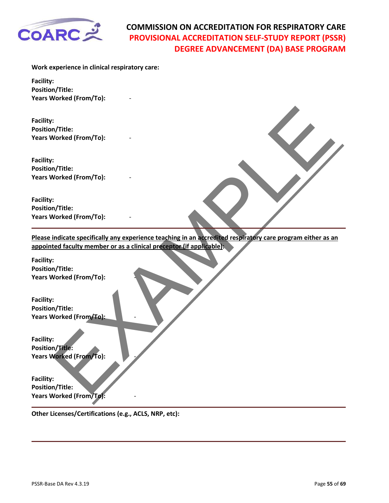

**Work experience in clinical respiratory care:**

**Facility: Position/Title: Years Worked (From/To):** -

**Facility: Position/Title: Years Worked (From/To):** -

**Facility: Position/Title: Years Worked (From/To):** -

**Facility: Position/Title: Years Worked (From/To):** -

EXAMPLE **Please indicate specifically any experience teaching in an accredited respiratory care program either as an appointed faculty member or as a clinical preceptor (if applicable):** 

**Facility: Position/Title: Years Worked (From/To):** -

**Facility: Position/Title: Years Worked (From/To):** -

**Facility: Position/Title: Years Worked (From/To):** -

**Facility: Position/Title: Years Worked (From/To):** -

**Other Licenses/Certifications (e.g., ACLS, NRP, etc):**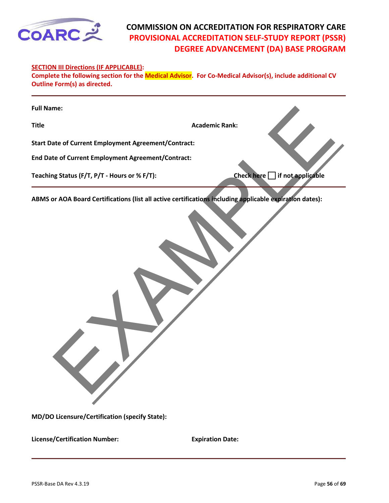<span id="page-55-0"></span>

#### **SECTION III Directions (IF APPLICABLE):**

**Complete the following section for the Medical Advisor. For Co-Medical Advisor(s), include additional CV Outline Form(s) as directed.**

| <b>Full Name:</b>                                                                                        |                                                               |
|----------------------------------------------------------------------------------------------------------|---------------------------------------------------------------|
| <b>Title</b>                                                                                             | <b>Academic Rank:</b>                                         |
| <b>Start Date of Current Employment Agreement/Contract:</b>                                              |                                                               |
| End Date of Current Employment Agreement/Contract:                                                       |                                                               |
| Teaching Status (F/T, P/T - Hours or % F/T):                                                             | $\overline{\phantom{\alpha}}$ if not applicable<br>Check here |
| ABMS or AOA Board Certifications (list all active certifications including applicable expiration dates): |                                                               |
| MD/DO Licensure/Certification (specify State):                                                           |                                                               |

**MD/DO Licensure/Certification (specify State):** 

**License/Certification Number: Expiration Date:**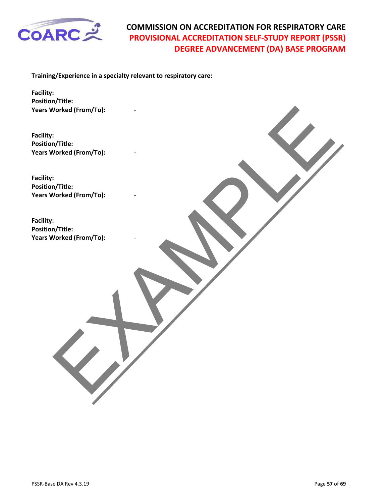<span id="page-56-0"></span>

**Training/Experience in a specialty relevant to respiratory care:** 

**Facility: Position/Title: Years Worked (From/To):** -

Vorked (From/To):<br>In/Title:<br>Vorked (From/To):<br>In/Title:<br>Orked (From/To):<br>In/Title:<br>Corked (From/To): **Facility: Position/Title: Years Worked (From/To):** -

**Facility: Position/Title: Years Worked (From/To):** -

**Facility: Position/Title: Years Worked (From/To):** -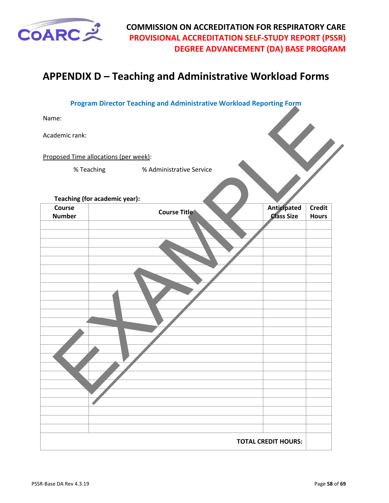<span id="page-57-0"></span>

# **APPENDIX D – Teaching and Administrative Workload Forms**

|                         | <b>Program Director Teaching and Administrative Workload Reporting Form</b> |                                  |                               |
|-------------------------|-----------------------------------------------------------------------------|----------------------------------|-------------------------------|
| Name:                   |                                                                             |                                  |                               |
| Academic rank:          |                                                                             |                                  |                               |
|                         | Proposed Time allocations (per week):                                       |                                  |                               |
|                         | % Administrative Service<br>% Teaching                                      |                                  |                               |
|                         | Teaching (for academic year):                                               |                                  |                               |
| Course<br><b>Number</b> | <b>Course Title</b>                                                         | Anticipated<br><b>Class Size</b> | <b>Credit</b><br><b>Hours</b> |
|                         |                                                                             |                                  |                               |
|                         |                                                                             |                                  |                               |
|                         |                                                                             |                                  |                               |
|                         |                                                                             |                                  |                               |
|                         |                                                                             |                                  |                               |
|                         |                                                                             |                                  |                               |
|                         |                                                                             |                                  |                               |
|                         |                                                                             |                                  |                               |
|                         |                                                                             |                                  |                               |
|                         |                                                                             |                                  |                               |
|                         |                                                                             |                                  |                               |
|                         |                                                                             |                                  |                               |
|                         |                                                                             |                                  |                               |
|                         |                                                                             |                                  |                               |
|                         |                                                                             | <b>TOTAL CREDIT HOURS:</b>       |                               |
|                         |                                                                             |                                  |                               |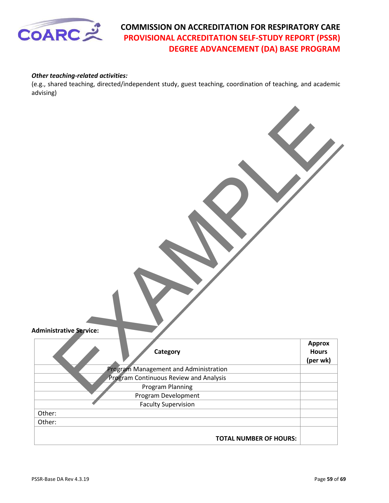

#### *Other teaching-related activities:*

(e.g., shared teaching, directed/independent study, guest teaching, coordination of teaching, and academic advising)

| <b>Administrative Service:</b> |                                               |                                           |
|--------------------------------|-----------------------------------------------|-------------------------------------------|
|                                | Category                                      | <b>Approx</b><br><b>Hours</b><br>(per wk) |
|                                | Program Management and Administration         |                                           |
|                                | <b>Program Continuous Review and Analysis</b> |                                           |
|                                | Program Planning                              |                                           |
|                                | Program Development                           |                                           |
|                                | <b>Faculty Supervision</b>                    |                                           |
| Other:                         |                                               |                                           |
| Other:                         |                                               |                                           |
|                                | <b>TOTAL NUMBER OF HOURS:</b>                 |                                           |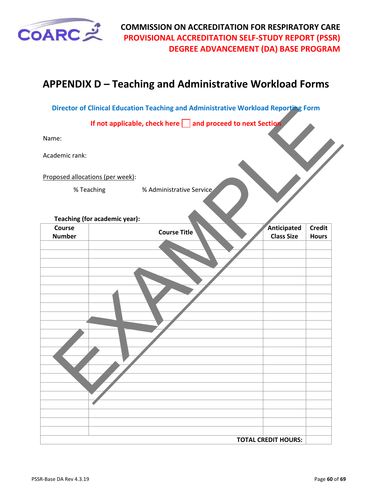<span id="page-59-0"></span>

# **APPENDIX D – Teaching and Administrative Workload Forms**

**Director of Clinical Education Teaching and Administrative Workload Reporting Form**

|                                  | Director of Clinical Education Teaching and Administrative Workload Reporting Form |                                                                   |
|----------------------------------|------------------------------------------------------------------------------------|-------------------------------------------------------------------|
|                                  | If not applicable, check here and proceed to next Section                          |                                                                   |
| Name:                            |                                                                                    |                                                                   |
| Academic rank:                   |                                                                                    |                                                                   |
| Proposed allocations (per week): |                                                                                    |                                                                   |
| % Teaching                       | % Administrative Service                                                           |                                                                   |
| Teaching (for academic year):    |                                                                                    |                                                                   |
| Course<br><b>Number</b>          | <b>Course Title</b>                                                                | Anticipated<br><b>Credit</b><br><b>Class Size</b><br><b>Hours</b> |
|                                  |                                                                                    |                                                                   |
|                                  |                                                                                    |                                                                   |
|                                  |                                                                                    |                                                                   |
|                                  |                                                                                    |                                                                   |
|                                  |                                                                                    |                                                                   |
|                                  |                                                                                    |                                                                   |
|                                  |                                                                                    |                                                                   |
|                                  |                                                                                    |                                                                   |
|                                  |                                                                                    |                                                                   |
|                                  |                                                                                    |                                                                   |
|                                  |                                                                                    |                                                                   |
|                                  |                                                                                    |                                                                   |
|                                  |                                                                                    |                                                                   |
|                                  |                                                                                    |                                                                   |
|                                  |                                                                                    |                                                                   |
|                                  |                                                                                    |                                                                   |
|                                  |                                                                                    |                                                                   |
|                                  | <b>TOTAL CREDIT HOURS:</b>                                                         |                                                                   |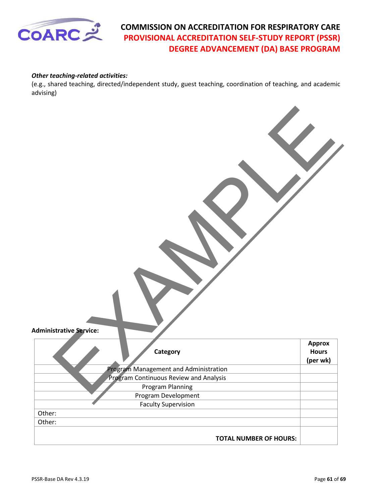

#### *Other teaching-related activities:*

(e.g., shared teaching, directed/independent study, guest teaching, coordination of teaching, and academic advising)

| <b>Administrative Service:</b> |                                               |                                           |
|--------------------------------|-----------------------------------------------|-------------------------------------------|
|                                | Category                                      | <b>Approx</b><br><b>Hours</b><br>(per wk) |
|                                | Program Management and Administration         |                                           |
|                                | <b>Program Continuous Review and Analysis</b> |                                           |
|                                | Program Planning                              |                                           |
|                                | Program Development                           |                                           |
|                                | <b>Faculty Supervision</b>                    |                                           |
| Other:                         |                                               |                                           |
| Other:                         |                                               |                                           |
|                                | <b>TOTAL NUMBER OF HOURS:</b>                 |                                           |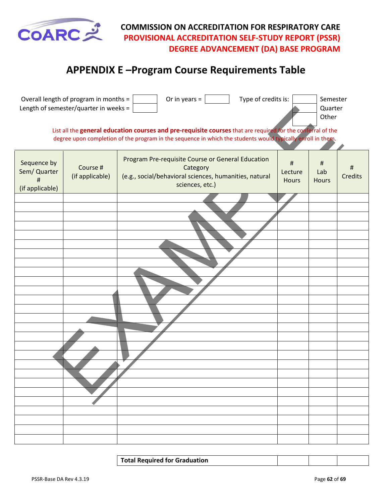<span id="page-61-0"></span>

# **APPENDIX E –Program Course Requirements Table**

|                                                     | Overall length of program in months =<br>Length of semester/quarter in weeks = | Type of credits is:<br>Or in years $=$                                                                                                                                                                                     |                          | Semester<br>Quarter<br>Other |                     |
|-----------------------------------------------------|--------------------------------------------------------------------------------|----------------------------------------------------------------------------------------------------------------------------------------------------------------------------------------------------------------------------|--------------------------|------------------------------|---------------------|
|                                                     |                                                                                | List all the general education courses and pre-requisite courses that are required for the conferral of the<br>degree upon completion of the program in the sequence in which the students would typically enroll in them. |                          |                              |                     |
| Sequence by<br>Sem/ Quarter<br>#<br>(if applicable) | Course #<br>(if applicable)                                                    | Program Pre-requisite Course or General Education<br>Category<br>(e.g., social/behavioral sciences, humanities, natural<br>sciences, etc.)                                                                                 | $\#$<br>Lecture<br>Hours | #<br>Lab<br><b>Hours</b>     | Ħ<br><b>Credits</b> |
|                                                     |                                                                                |                                                                                                                                                                                                                            |                          |                              |                     |
|                                                     |                                                                                |                                                                                                                                                                                                                            |                          |                              |                     |
|                                                     |                                                                                |                                                                                                                                                                                                                            |                          |                              |                     |
|                                                     |                                                                                |                                                                                                                                                                                                                            |                          |                              |                     |
|                                                     |                                                                                |                                                                                                                                                                                                                            |                          |                              |                     |
|                                                     |                                                                                |                                                                                                                                                                                                                            |                          |                              |                     |
|                                                     |                                                                                |                                                                                                                                                                                                                            |                          |                              |                     |
|                                                     |                                                                                |                                                                                                                                                                                                                            |                          |                              |                     |
|                                                     |                                                                                |                                                                                                                                                                                                                            |                          |                              |                     |
|                                                     |                                                                                |                                                                                                                                                                                                                            |                          |                              |                     |
|                                                     |                                                                                |                                                                                                                                                                                                                            |                          |                              |                     |
|                                                     |                                                                                |                                                                                                                                                                                                                            |                          |                              |                     |
|                                                     |                                                                                |                                                                                                                                                                                                                            |                          |                              |                     |
|                                                     |                                                                                |                                                                                                                                                                                                                            |                          |                              |                     |
|                                                     |                                                                                |                                                                                                                                                                                                                            |                          |                              |                     |
|                                                     |                                                                                |                                                                                                                                                                                                                            |                          |                              |                     |
|                                                     |                                                                                |                                                                                                                                                                                                                            |                          |                              |                     |
|                                                     |                                                                                |                                                                                                                                                                                                                            |                          |                              |                     |
|                                                     |                                                                                |                                                                                                                                                                                                                            |                          |                              |                     |

**Total Required for Graduation**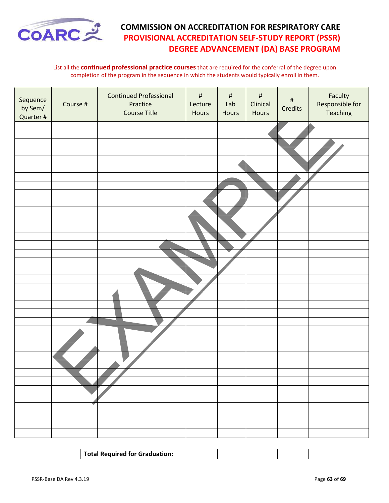

#### List all the **continued professional practice courses** that are required for the conferral of the degree upon completion of the program in the sequence in which the students would typically enroll in them.

| Sequence<br>by Sem/<br>Quarter # | Course # | <b>Continued Professional</b><br>Practice<br>Course Title | $\#$<br>Lecture<br>Hours | $\#$<br>Lab<br>Hours | $\#$<br>Clinical<br>Hours | $\#$<br>Credits | Faculty<br>Responsible for<br>Teaching |
|----------------------------------|----------|-----------------------------------------------------------|--------------------------|----------------------|---------------------------|-----------------|----------------------------------------|
|                                  |          |                                                           |                          |                      |                           |                 |                                        |
|                                  |          |                                                           |                          |                      |                           |                 |                                        |
|                                  |          |                                                           |                          |                      |                           |                 |                                        |
|                                  |          |                                                           |                          |                      |                           |                 |                                        |
|                                  |          |                                                           |                          |                      |                           |                 |                                        |
|                                  |          |                                                           |                          |                      |                           |                 |                                        |
|                                  |          |                                                           |                          |                      |                           |                 |                                        |
|                                  |          |                                                           |                          |                      |                           |                 |                                        |
|                                  |          |                                                           |                          |                      |                           |                 |                                        |
|                                  |          |                                                           |                          |                      |                           |                 |                                        |
|                                  |          |                                                           |                          |                      |                           |                 |                                        |
|                                  |          |                                                           |                          |                      |                           |                 |                                        |
|                                  |          |                                                           |                          |                      |                           |                 |                                        |
|                                  |          |                                                           |                          |                      |                           |                 |                                        |
|                                  |          |                                                           |                          |                      |                           |                 |                                        |
|                                  |          |                                                           |                          |                      |                           |                 |                                        |
|                                  |          |                                                           |                          |                      |                           |                 |                                        |
|                                  |          |                                                           |                          |                      |                           |                 |                                        |
|                                  |          |                                                           |                          |                      |                           |                 |                                        |
|                                  |          |                                                           |                          |                      |                           |                 |                                        |
|                                  |          |                                                           |                          |                      |                           |                 |                                        |
|                                  |          |                                                           |                          |                      |                           |                 |                                        |
|                                  |          |                                                           |                          |                      |                           |                 |                                        |
|                                  |          |                                                           |                          |                      |                           |                 |                                        |
|                                  |          |                                                           |                          |                      |                           |                 |                                        |
|                                  |          |                                                           |                          |                      |                           |                 |                                        |
|                                  |          |                                                           |                          |                      |                           |                 |                                        |
|                                  |          |                                                           |                          |                      |                           |                 |                                        |
|                                  |          |                                                           |                          |                      |                           |                 |                                        |
|                                  |          |                                                           |                          |                      |                           |                 |                                        |
|                                  |          |                                                           |                          |                      |                           |                 |                                        |
|                                  |          |                                                           |                          |                      |                           |                 |                                        |
|                                  |          |                                                           |                          |                      |                           |                 |                                        |
|                                  |          |                                                           |                          |                      |                           |                 |                                        |
|                                  |          |                                                           |                          |                      |                           |                 |                                        |

| Total Required for Graduation: |  |  |
|--------------------------------|--|--|
|                                |  |  |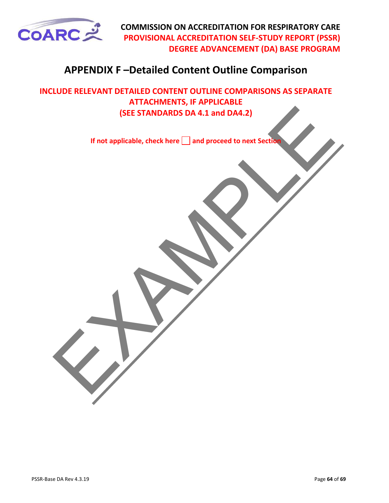<span id="page-63-0"></span>

# **APPENDIX F –Detailed Content Outline Comparison**

ISEE STANDARDS DA 4.1 and DA4.2)<br>If not applicable, check here  $\square$  and proceed to next Section **INCLUDE RELEVANT DETAILED CONTENT OUTLINE COMPARISONS AS SEPARATE ATTACHMENTS, IF APPLICABLE (SEE STANDARDS DA 4.1 and DA4.2)**

**If not applicable, check here and proceed to next Section**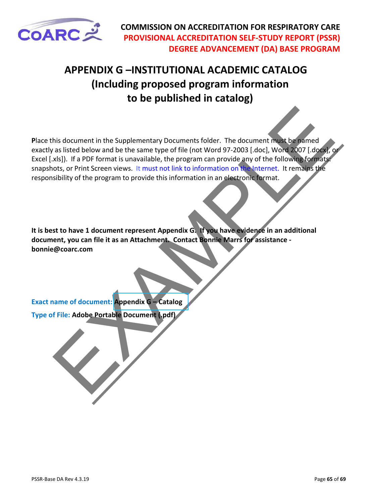<span id="page-64-0"></span>

# **APPENDIX G –INSTITUTIONAL ACADEMIC CATALOG (Including proposed program information to be published in catalog)**

this document in the Supplementary Document folder. The document must be pamed<br>as listed below and be the same type of file (not Word 97-2003 [.doc), Word 2007 [.doc),<br>xls:)). If a PDF format is unavailable, the program ca **P**lace this document in the Supplementary Documents folder. The document must be named exactly as listed below and be the same type of file (not Word 97-2003 [.doc], Word 2007 [.docx], or Excel [.xls]). If a PDF format is unavailable, the program can provide any of the following formats: snapshots, or Print Screen views. It must not link to information on the Internet. It remains the responsibility of the program to provide this information in an electronic format.

**It is best to have 1 document represent Appendix G. If you have evidence in an additional document, you can file it as an Attachment. Contact Bonnie Marrs for assistance bonnie@coarc.com** 

**Exact name of document: Appendix G – Catalog Type of File: Adobe Portable Document (.pdf)**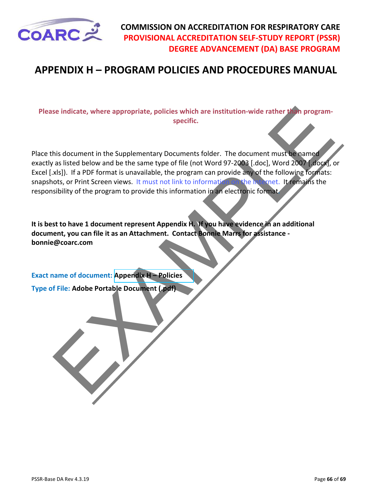<span id="page-65-0"></span>

# **APPENDIX H – PROGRAM POLICIES AND PROCEDURES MANUAL**

**Please indicate, where appropriate, policies which are institution-wide rather than programspecific.**

Section<br>
Section Articles which are institution-wide rather than program-<br>
specific.<br>
Also document in the Supplementary Document folder. The document must be pamel<br>
as listed below and be the same type of file (not Word 9 Place this document in the Supplementary Documents folder. The document must be named exactly as listed below and be the same type of file (not Word 97-2003 [.doc], Word 2007 [.docx], or Excel [.xls]). If a PDF format is unavailable, the program can provide any of the following formats: snapshots, or Print Screen views. It must not link to information on the Internet. It remains the responsibility of the program to provide this information in an electronic format**.** 

**It is best to have 1 document represent Appendix H. If you have evidence in an additional document, you can file it as an Attachment. Contact Bonnie Marrs for assistance bonnie@coarc.com** 

**Exact name of document: Appendix H – Policies**

**Type of File: Adobe Portable Document (.pdf)**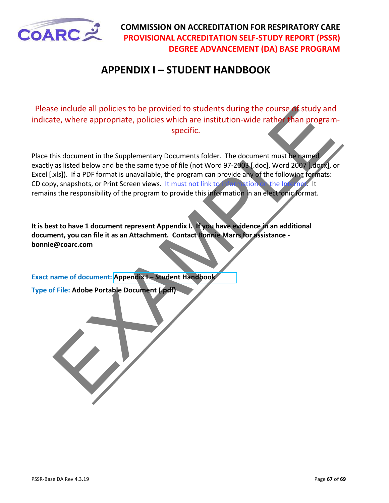

# **APPENDIX I – STUDENT HANDBOOK**

Please include all policies to be provided to students during the course of study and indicate, where appropriate, policies which are institution-wide rather than programspecific.

State and policies to be provided to students during the course of study and<br>the where appropriate, policies which are institution-wide rather than program<br>signification wide rather than program<br>is document in the Suppleme Place this document in the Supplementary Documents folder. The document must be named exactly as listed below and be the same type of file (not Word 97-2003 [.doc], Word 2007 [.docx], or Excel [.xls]). If a PDF format is unavailable, the program can provide any of the following formats: CD copy, snapshots, or Print Screen views. It must not link to information on the Internet. It remains the responsibility of the program to provide this information in an electronic format.

**It is best to have 1 document represent Appendix I. If you have evidence in an additional document, you can file it as an Attachment. Contact Bonnie Marrs for assistance bonnie@coarc.com**

**Exact name of document: Appendix I – Student Handbook**

**Type of File: Adobe Portable Document (.pdf)**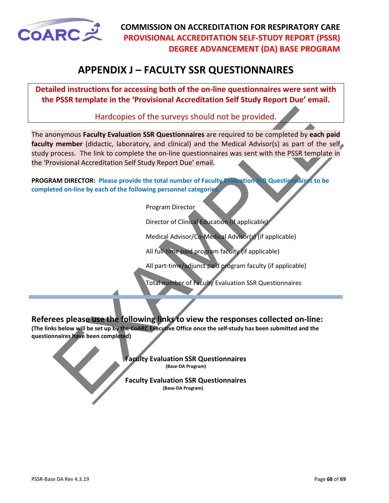<span id="page-67-0"></span>

# **APPENDIX J – FACULTY SSR QUESTIONNAIRES**

**Detailed instructions for accessing both of the on-line questionnaires were sent with the PSSR template in the 'Provisional Accreditation Self Study Report Due' email.** 

Hardcopies of the surveys should not be provided.

Hardcopies of the surveys should not be provided.<br>
member (didactic, laboratory, and clinical) and the Medical Advisor(s) as part of the second<br>
correction of the survey should all and the Medical Advisor(s) as part of the The anonymous **Faculty Evaluation SSR Questionnaires** are required to be completed by **each paid** faculty member (didactic, laboratory, and clinical) and the Medical Advisor(s) as part of the self study process. The link to complete the on-line questionnaires was sent with the PSSR template in the 'Provisional Accreditation Self Study Report Due' email.

**PROGRAM DIRECTOR: Please provide the total number of Faculty Evaluation SSR Questionnaires to be completed** on-line by each of the following personnel categories

Program Director

Director of Clinical Education (if applicable)

Medical Advisor/Co-Medical Advisor(s) (if applicable)

All full-time paid program faculty (if applicable)

All part-time/adjunct paid program faculty (if applicable)

Total number of Faculty Evaluation SSR Questionnaires

#### **Referees please use the following links to view the responses collected on-line:**

**(The links below will be set up by the CoARC Executive Office once the self-study has been submitted and the questionnaires have been completed)**

> **Faculty Evaluation SSR Questionnaires (Base-DA Program)**

> **Faculty Evaluation SSR Questionnaires (Base-DA Program)**